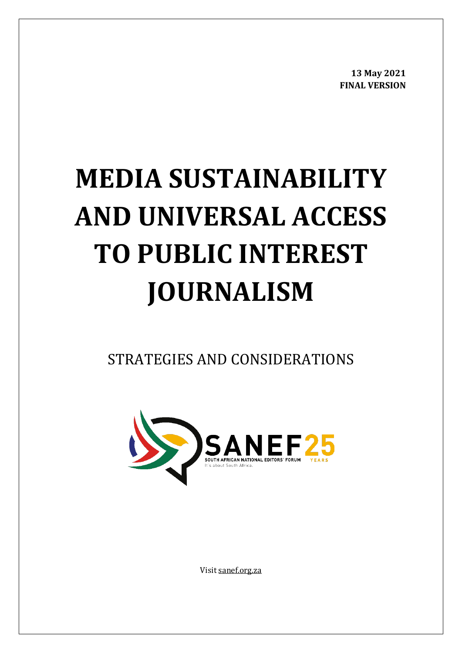**13 May 2021 FINAL VERSION**

# **MEDIA SUSTAINABILITY AND UNIVERSAL ACCESS TO PUBLIC INTEREST JOURNALISM**

STRATEGIES AND CONSIDERATIONS



Visi[t sanef.org.za](https://sanef.org.za/)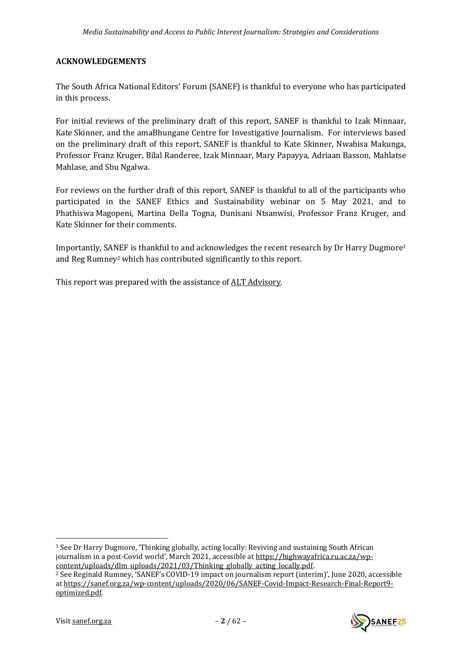## <span id="page-1-0"></span>**ACKNOWLEDGEMENTS**

The South Africa National Editors' Forum (SANEF) is thankful to everyone who has participated in this process.

For initial reviews of the preliminary draft of this report, SANEF is thankful to Izak Minnaar, Kate Skinner, and the amaBhungane Centre for Investigative Journalism. For interviews based on the preliminary draft of this report, SANEF is thankful to Kate Skinner, Nwabisa Makunga, Professor Franz Kruger, Bilal Randeree, Izak Minnaar, Mary Papayya, Adriaan Basson, Mahlatse Mahlase, and Sbu Ngalwa.

For reviews on the further draft of this report, SANEF is thankful to all of the participants who participated in the SANEF Ethics and Sustainability webinar on 5 May 2021, and to Phathiswa Magopeni, Martina Della Togna, Dunisani Ntsanwisi, Professor Franz Kruger, and Kate Skinner for their comments.

<span id="page-1-2"></span><span id="page-1-1"></span>Importantly, SANEF is thankful to and acknowledges the recent research by Dr Harry Dugmore<sup>1</sup> and Reg Rumney<sup>2</sup> which has contributed significantly to this report.

This report was prepared with the assistance of ALT [Advisory.](https://altadvisory.africa/)

<sup>1</sup> See Dr Harry Dugmore, 'Thinking globally, acting locally: Reviving and sustaining South African journalism in a post-Covid world', March 2021, accessible at [https://highwayafrica.ru.ac.za/wp](https://highwayafrica.ru.ac.za/wp-content/uploads/dlm_uploads/2021/03/Thinking_globally_acting_locally.pdf)[content/uploads/dlm\\_uploads/2021/03/Thinking\\_globally\\_acting\\_locally.pdf.](https://highwayafrica.ru.ac.za/wp-content/uploads/dlm_uploads/2021/03/Thinking_globally_acting_locally.pdf)

<sup>2</sup> See Reginald Rumney, 'SANEF's COVID-19 impact on journalism report (interim)', June 2020, accessible a[t https://sanef.org.za/wp-content/uploads/2020/06/SANEF-Covid-Impact-Research-Final-Report9](https://sanef.org.za/wp-content/uploads/2020/06/SANEF-Covid-Impact-Research-Final-Report9-optimized.pdf) [optimized.pdf.](https://sanef.org.za/wp-content/uploads/2020/06/SANEF-Covid-Impact-Research-Final-Report9-optimized.pdf)

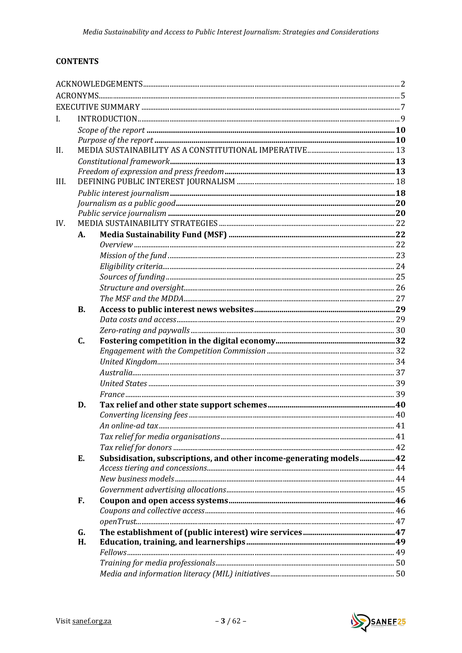# **CONTENTS**

| L    |           |                                                                                                                                                                                                                                                                                                                                                                                                         |  |
|------|-----------|---------------------------------------------------------------------------------------------------------------------------------------------------------------------------------------------------------------------------------------------------------------------------------------------------------------------------------------------------------------------------------------------------------|--|
|      |           |                                                                                                                                                                                                                                                                                                                                                                                                         |  |
|      |           |                                                                                                                                                                                                                                                                                                                                                                                                         |  |
| II.  |           |                                                                                                                                                                                                                                                                                                                                                                                                         |  |
|      |           | $\label{thm:main} \textit{Constitutional framework} \textit{} \textit{} \textit{} \textit{} \textit{} \textit{} \textit{} \textit{} \textit{} \textit{} \textit{} \textit{} \textit{} \textit{} \textit{} \textit{} \textit{} \textit{} \textit{} \textit{} \textit{} \textit{} \textit{} \textit{} \textit{} \textit{} \textit{} \textit{} \textit{} \textit{} \textit{} \textit{} \textit{} \textit{$ |  |
|      |           |                                                                                                                                                                                                                                                                                                                                                                                                         |  |
| III. |           |                                                                                                                                                                                                                                                                                                                                                                                                         |  |
|      |           |                                                                                                                                                                                                                                                                                                                                                                                                         |  |
|      |           |                                                                                                                                                                                                                                                                                                                                                                                                         |  |
|      |           |                                                                                                                                                                                                                                                                                                                                                                                                         |  |
| IV.  |           |                                                                                                                                                                                                                                                                                                                                                                                                         |  |
|      | А.        |                                                                                                                                                                                                                                                                                                                                                                                                         |  |
|      |           |                                                                                                                                                                                                                                                                                                                                                                                                         |  |
|      |           |                                                                                                                                                                                                                                                                                                                                                                                                         |  |
|      |           |                                                                                                                                                                                                                                                                                                                                                                                                         |  |
|      |           |                                                                                                                                                                                                                                                                                                                                                                                                         |  |
|      |           |                                                                                                                                                                                                                                                                                                                                                                                                         |  |
|      | <b>B.</b> |                                                                                                                                                                                                                                                                                                                                                                                                         |  |
|      |           |                                                                                                                                                                                                                                                                                                                                                                                                         |  |
|      |           |                                                                                                                                                                                                                                                                                                                                                                                                         |  |
|      | C.        |                                                                                                                                                                                                                                                                                                                                                                                                         |  |
|      |           |                                                                                                                                                                                                                                                                                                                                                                                                         |  |
|      |           |                                                                                                                                                                                                                                                                                                                                                                                                         |  |
|      |           |                                                                                                                                                                                                                                                                                                                                                                                                         |  |
|      |           |                                                                                                                                                                                                                                                                                                                                                                                                         |  |
|      |           |                                                                                                                                                                                                                                                                                                                                                                                                         |  |
|      | D.        |                                                                                                                                                                                                                                                                                                                                                                                                         |  |
|      |           |                                                                                                                                                                                                                                                                                                                                                                                                         |  |
|      |           |                                                                                                                                                                                                                                                                                                                                                                                                         |  |
|      |           |                                                                                                                                                                                                                                                                                                                                                                                                         |  |
|      |           |                                                                                                                                                                                                                                                                                                                                                                                                         |  |
|      | Е.        | Subsidisation, subscriptions, and other income-generating models 42                                                                                                                                                                                                                                                                                                                                     |  |
|      |           |                                                                                                                                                                                                                                                                                                                                                                                                         |  |
|      |           |                                                                                                                                                                                                                                                                                                                                                                                                         |  |
|      |           |                                                                                                                                                                                                                                                                                                                                                                                                         |  |
|      | F.        |                                                                                                                                                                                                                                                                                                                                                                                                         |  |
|      |           |                                                                                                                                                                                                                                                                                                                                                                                                         |  |
|      |           |                                                                                                                                                                                                                                                                                                                                                                                                         |  |
|      | G.        |                                                                                                                                                                                                                                                                                                                                                                                                         |  |
|      | H.        |                                                                                                                                                                                                                                                                                                                                                                                                         |  |
|      |           |                                                                                                                                                                                                                                                                                                                                                                                                         |  |
|      |           |                                                                                                                                                                                                                                                                                                                                                                                                         |  |
|      |           |                                                                                                                                                                                                                                                                                                                                                                                                         |  |

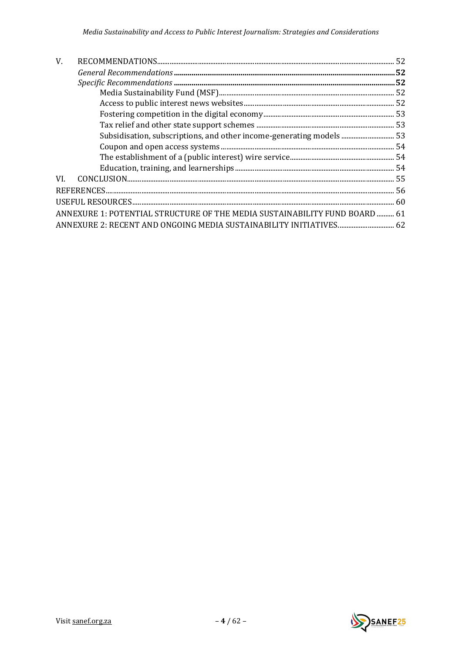| V.  |                                                                            |  |
|-----|----------------------------------------------------------------------------|--|
|     |                                                                            |  |
|     |                                                                            |  |
|     |                                                                            |  |
|     |                                                                            |  |
|     |                                                                            |  |
|     |                                                                            |  |
|     | Subsidisation, subscriptions, and other income-generating models  53       |  |
|     |                                                                            |  |
|     |                                                                            |  |
|     |                                                                            |  |
| VI. |                                                                            |  |
|     |                                                                            |  |
|     |                                                                            |  |
|     | ANNEXURE 1: POTENTIAL STRUCTURE OF THE MEDIA SUSTAINABILITY FUND BOARD  61 |  |
|     | ANNEXURE 2: RECENT AND ONGOING MEDIA SUSTAINABILITY INITIATIVES 62         |  |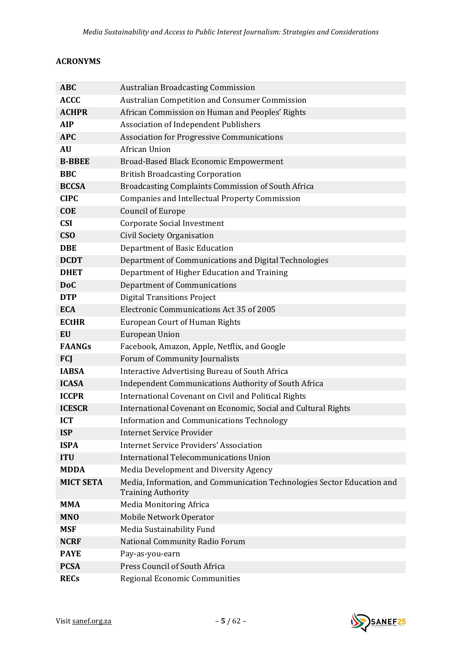## <span id="page-4-0"></span>**ACRONYMS**

| <b>ABC</b>       | <b>Australian Broadcasting Commission</b>                                                            |
|------------------|------------------------------------------------------------------------------------------------------|
| <b>ACCC</b>      | Australian Competition and Consumer Commission                                                       |
| <b>ACHPR</b>     | African Commission on Human and Peoples' Rights                                                      |
| <b>AIP</b>       | <b>Association of Independent Publishers</b>                                                         |
| <b>APC</b>       | <b>Association for Progressive Communications</b>                                                    |
| <b>AU</b>        | African Union                                                                                        |
| <b>B-BBEE</b>    | Broad-Based Black Economic Empowerment                                                               |
| <b>BBC</b>       | <b>British Broadcasting Corporation</b>                                                              |
| <b>BCCSA</b>     | Broadcasting Complaints Commission of South Africa                                                   |
| <b>CIPC</b>      | Companies and Intellectual Property Commission                                                       |
| <b>COE</b>       | <b>Council of Europe</b>                                                                             |
| <b>CSI</b>       | <b>Corporate Social Investment</b>                                                                   |
| CS <sub>O</sub>  | <b>Civil Society Organisation</b>                                                                    |
| <b>DBE</b>       | <b>Department of Basic Education</b>                                                                 |
| <b>DCDT</b>      | Department of Communications and Digital Technologies                                                |
| <b>DHET</b>      | Department of Higher Education and Training                                                          |
| <b>DoC</b>       | <b>Department of Communications</b>                                                                  |
| <b>DTP</b>       | <b>Digital Transitions Project</b>                                                                   |
| <b>ECA</b>       | Electronic Communications Act 35 of 2005                                                             |
| <b>ECtHR</b>     | <b>European Court of Human Rights</b>                                                                |
| <b>EU</b>        | <b>European Union</b>                                                                                |
| <b>FAANGs</b>    | Facebook, Amazon, Apple, Netflix, and Google                                                         |
| <b>FCJ</b>       | Forum of Community Journalists                                                                       |
| <b>IABSA</b>     | Interactive Advertising Bureau of South Africa                                                       |
| <b>ICASA</b>     | Independent Communications Authority of South Africa                                                 |
| <b>ICCPR</b>     | International Covenant on Civil and Political Rights                                                 |
| <b>ICESCR</b>    | International Covenant on Economic, Social and Cultural Rights                                       |
| <b>ICT</b>       | <b>Information and Communications Technology</b>                                                     |
| <b>ISP</b>       | <b>Internet Service Provider</b>                                                                     |
| <b>ISPA</b>      | <b>Internet Service Providers' Association</b>                                                       |
| <b>ITU</b>       | International Telecommunications Union                                                               |
| <b>MDDA</b>      | Media Development and Diversity Agency                                                               |
| <b>MICT SETA</b> | Media, Information, and Communication Technologies Sector Education and<br><b>Training Authority</b> |
| MMA              | Media Monitoring Africa                                                                              |
| <b>MNO</b>       | Mobile Network Operator                                                                              |
| <b>MSF</b>       | Media Sustainability Fund                                                                            |
| <b>NCRF</b>      | National Community Radio Forum                                                                       |
| <b>PAYE</b>      | Pay-as-you-earn                                                                                      |
| <b>PCSA</b>      | Press Council of South Africa                                                                        |
| <b>RECs</b>      | Regional Economic Communities                                                                        |

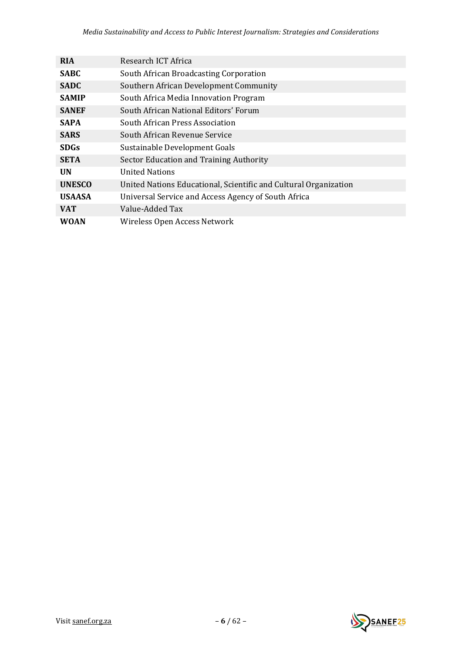| <b>RIA</b>    | Research ICT Africa                                              |
|---------------|------------------------------------------------------------------|
| <b>SABC</b>   | South African Broadcasting Corporation                           |
| <b>SADC</b>   | Southern African Development Community                           |
| <b>SAMIP</b>  | South Africa Media Innovation Program                            |
| <b>SANEF</b>  | South African National Editors' Forum                            |
| <b>SAPA</b>   | South African Press Association                                  |
| <b>SARS</b>   | South African Revenue Service                                    |
| <b>SDGs</b>   | Sustainable Development Goals                                    |
| <b>SETA</b>   | Sector Education and Training Authority                          |
| <b>UN</b>     | <b>United Nations</b>                                            |
| <b>UNESCO</b> | United Nations Educational, Scientific and Cultural Organization |
| <b>USAASA</b> | Universal Service and Access Agency of South Africa              |
| <b>VAT</b>    | Value-Added Tax                                                  |
| <b>WOAN</b>   | Wireless Open Access Network                                     |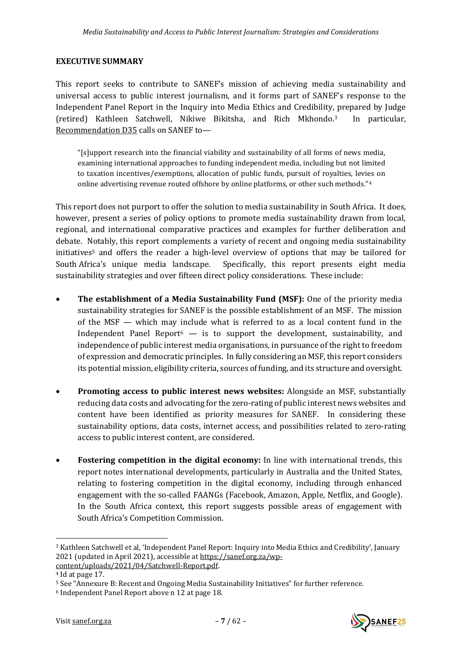#### <span id="page-6-0"></span>**EXECUTIVE SUMMARY**

This report seeks to contribute to SANEF's mission of achieving media sustainability and universal access to public interest journalism, and it forms part of SANEF's response to the Independent Panel Report in the Inquiry into Media Ethics and Credibility, prepared by Judge (retired) Kathleen Satchwell, Nikiwe Bikitsha, and Rich Mkhondo.3 In particular, Recommendation D35 calls on SANEF to—

"[s]upport research into the financial viability and sustainability of all forms of news media, examining international approaches to funding independent media, including but not limited to taxation incentives/exemptions, allocation of public funds, pursuit of royalties, levies on online advertising revenue routed offshore by online platforms, or other such methods."<sup>4</sup>

This report does not purport to offer the solution to media sustainability in South Africa. It does, however, present a series of policy options to promote media sustainability drawn from local, regional, and international comparative practices and examples for further deliberation and debate. Notably, this report complements a variety of recent and ongoing media sustainability initiatives<sup>5</sup> and offers the reader a high-level overview of options that may be tailored for South Africa's unique media landscape. Specifically, this report presents eight media sustainability strategies and over fifteen direct policy considerations. These include:

- **The establishment of a Media Sustainability Fund (MSF):** One of the priority media sustainability strategies for SANEF is the possible establishment of an MSF. The mission of the MSF — which may include what is referred to as a local content fund in the Independent Panel Report $6 - i$ s to support the development, sustainability, and independence of public interest media organisations, in pursuance of the right to freedom of expression and democratic principles. In fully considering an MSF, this report considers its potential mission, eligibility criteria, sources of funding, and its structure and oversight.
- **Promoting access to public interest news websites:** Alongside an MSF, substantially reducing data costs and advocating for the zero-rating of public interest news websites and content have been identified as priority measures for SANEF. In considering these sustainability options, data costs, internet access, and possibilities related to zero-rating access to public interest content, are considered.
- **Fostering competition in the digital economy:** In line with international trends, this report notes international developments, particularly in Australia and the United States, relating to fostering competition in the digital economy, including through enhanced engagement with the so-called FAANGs (Facebook, Amazon, Apple, Netflix, and Google). In the South Africa context, this report suggests possible areas of engagement with South Africa's Competition Commission.



<sup>3</sup> Kathleen Satchwell et al, 'Independent Panel Report: Inquiry into Media Ethics and Credibility', January 2021 (updated in April 2021), accessible at [https://sanef.org.za/wp](https://sanef.org.za/wp-content/uploads/2021/04/Satchwell-Report.pdf)[content/uploads/2021/04/Satchwell-Report.pdf.](https://sanef.org.za/wp-content/uploads/2021/04/Satchwell-Report.pdf)

<sup>4</sup> Id at page 17.

<sup>5</sup> See "Annexure B: Recent and Ongoing Media Sustainability Initiatives" for further reference.

<sup>6</sup> Independent Panel Report above n [12](#page-9-2) at page 18.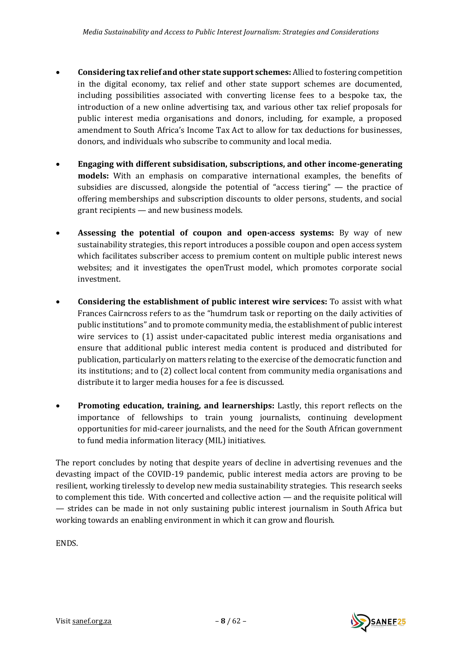- **Considering tax relief and other state support schemes:** Allied to fostering competition in the digital economy, tax relief and other state support schemes are documented, including possibilities associated with converting license fees to a bespoke tax, the introduction of a new online advertising tax, and various other tax relief proposals for public interest media organisations and donors, including, for example, a proposed amendment to South Africa's Income Tax Act to allow for tax deductions for businesses, donors, and individuals who subscribe to community and local media.
- **Engaging with different subsidisation, subscriptions, and other income-generating models:** With an emphasis on comparative international examples, the benefits of subsidies are discussed, alongside the potential of "access tiering" — the practice of offering memberships and subscription discounts to older persons, students, and social grant recipients — and new business models.
- **Assessing the potential of coupon and open-access systems:** By way of new sustainability strategies, this report introduces a possible coupon and open access system which facilitates subscriber access to premium content on multiple public interest news websites; and it investigates the openTrust model, which promotes corporate social investment.
- **Considering the establishment of public interest wire services:** To assist with what Frances Cairncross refers to as the "humdrum task or reporting on the daily activities of public institutions" and to promote community media, the establishment of public interest wire services to (1) assist under-capacitated public interest media organisations and ensure that additional public interest media content is produced and distributed for publication, particularly on matters relating to the exercise of the democratic function and its institutions; and to (2) collect local content from community media organisations and distribute it to larger media houses for a fee is discussed.
- **Promoting education, training, and learnerships:** Lastly, this report reflects on the importance of fellowships to train young journalists, continuing development opportunities for mid-career journalists, and the need for the South African government to fund media information literacy (MIL) initiatives.

The report concludes by noting that despite years of decline in advertising revenues and the devasting impact of the COVID-19 pandemic, public interest media actors are proving to be resilient, working tirelessly to develop new media sustainability strategies. This research seeks to complement this tide. With concerted and collective action — and the requisite political will — strides can be made in not only sustaining public interest journalism in South Africa but working towards an enabling environment in which it can grow and flourish.

ENDS.

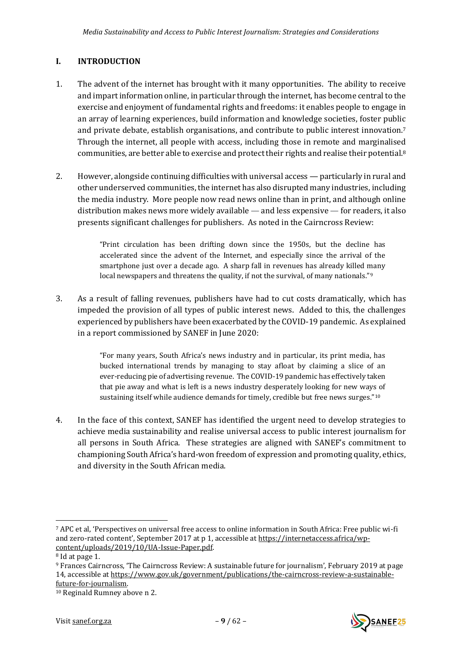# <span id="page-8-0"></span>**I. INTRODUCTION**

- 1. The advent of the internet has brought with it many opportunities. The ability to receive and impart information online, in particular through the internet, has become central to the exercise and enjoyment of fundamental rights and freedoms: it enables people to engage in an array of learning experiences, build information and knowledge societies, foster public and private debate, establish organisations, and contribute to public interest innovation.<sup>7</sup> Through the internet, all people with access, including those in remote and marginalised communities, are better able to exercise and protect their rights and realise their potential.<sup>8</sup>
- 2. However, alongside continuing difficulties with universal access particularly in rural and other underserved communities, the internet has also disrupted many industries, including the media industry. More people now read news online than in print, and although online distribution makes news more widely available — and less expensive — for readers, it also presents significant challenges for publishers. As noted in the Cairncross Review:

<span id="page-8-1"></span>"Print circulation has been drifting down since the 1950s, but the decline has accelerated since the advent of the Internet, and especially since the arrival of the smartphone just over a decade ago. A sharp fall in revenues has already killed many local newspapers and threatens the quality, if not the survival, of many nationals."<sup>9</sup>

3. As a result of falling revenues, publishers have had to cut costs dramatically, which has impeded the provision of all types of public interest news. Added to this, the challenges experienced by publishers have been exacerbated by the COVID-19 pandemic. As explained in a report commissioned by SANEF in June 2020:

> "For many years, South Africa's news industry and in particular, its print media, has bucked international trends by managing to stay afloat by claiming a slice of an ever-reducing pie of advertising revenue. The COVID-19 pandemic has effectively taken that pie away and what is left is a news industry desperately looking for new ways of sustaining itself while audience demands for timely, credible but free news surges."<sup>10</sup>

4. In the face of this context, SANEF has identified the urgent need to develop strategies to achieve media sustainability and realise universal access to public interest journalism for all persons in South Africa. These strategies are aligned with SANEF's commitment to championing South Africa's hard-won freedom of expression and promoting quality, ethics, and diversity in the South African media.



<sup>7</sup> APC et al, 'Perspectives on universal free access to online information in South Africa: Free public wi-fi and zero-rated content', September 2017 at p 1, accessible at [https://internetaccess.africa/wp](https://internetaccess.africa/wp-content/uploads/2019/10/UA-Issue-Paper.pdf)[content/uploads/2019/10/UA-Issue-Paper.pdf.](https://internetaccess.africa/wp-content/uploads/2019/10/UA-Issue-Paper.pdf)

<sup>8</sup> Id at page 1.

<sup>9</sup> Frances Cairncross, 'The Cairncross Review: A sustainable future for journalism', February 2019 at page 14, accessible at [https://www.gov.uk/government/publications/the-cairncross-review-a-sustainable](https://www.gov.uk/government/publications/the-cairncross-review-a-sustainable-future-for-journalism)[future-for-journalism.](https://www.gov.uk/government/publications/the-cairncross-review-a-sustainable-future-for-journalism) 

<sup>10</sup> Reginald Rumney above [n 2.](#page-1-1)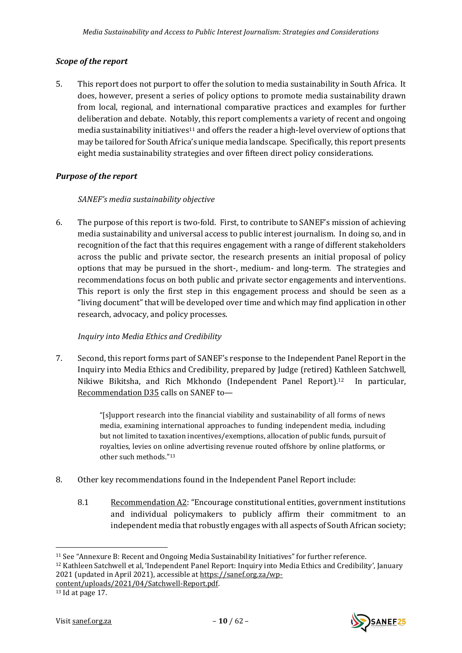## <span id="page-9-0"></span>*Scope of the report*

5. This report does not purport to offer the solution to media sustainability in South Africa. It does, however, present a series of policy options to promote media sustainability drawn from local, regional, and international comparative practices and examples for further deliberation and debate. Notably, this report complements a variety of recent and ongoing media sustainability initiatives<sup>11</sup> and offers the reader a high-level overview of options that may be tailored for South Africa's unique media landscape. Specifically, this report presents eight media sustainability strategies and over fifteen direct policy considerations.

# <span id="page-9-1"></span>*Purpose of the report*

## *SANEF's media sustainability objective*

6. The purpose of this report is two-fold. First, to contribute to SANEF's mission of achieving media sustainability and universal access to public interest journalism. In doing so, and in recognition of the fact that this requires engagement with a range of different stakeholders across the public and private sector, the research presents an initial proposal of policy options that may be pursued in the short-, medium- and long-term. The strategies and recommendations focus on both public and private sector engagements and interventions. This report is only the first step in this engagement process and should be seen as a "living document" that will be developed over time and which may find application in other research, advocacy, and policy processes.

# *Inquiry into Media Ethics and Credibility*

7. Second, this report forms part of SANEF's response to the Independent Panel Report in the Inquiry into Media Ethics and Credibility, prepared by Judge (retired) Kathleen Satchwell, Nikiwe Bikitsha, and Rich Mkhondo (Independent Panel Report).12 In particular, Recommendation D35 calls on SANEF to—

> "[s]upport research into the financial viability and sustainability of all forms of news media, examining international approaches to funding independent media, including but not limited to taxation incentives/exemptions, allocation of public funds, pursuit of royalties, levies on online advertising revenue routed offshore by online platforms, or other such methods."<sup>13</sup>

- 8. Other key recommendations found in the Independent Panel Report include:
	- 8.1 Recommendation A2: "Encourage constitutional entities, government institutions and individual policymakers to publicly affirm their commitment to an independent media that robustly engages with all aspects of South African society;

<span id="page-9-2"></span>

<sup>11</sup> See "Annexure B: Recent and Ongoing Media Sustainability Initiatives" for further reference.

<sup>12</sup> Kathleen Satchwell et al, 'Independent Panel Report: Inquiry into Media Ethics and Credibility', January 2021 (updated in April 2021), accessible at [https://sanef.org.za/wp-](https://sanef.org.za/wp-content/uploads/2021/04/Satchwell-Report.pdf)

[content/uploads/2021/04/Satchwell-Report.pdf.](https://sanef.org.za/wp-content/uploads/2021/04/Satchwell-Report.pdf)

<sup>13</sup> Id at page 17.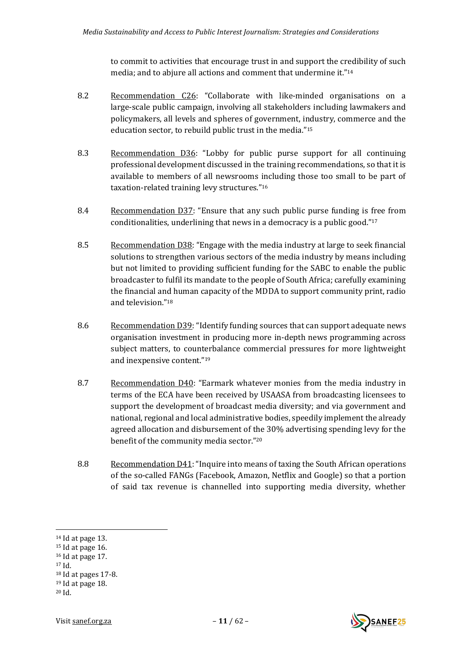to commit to activities that encourage trust in and support the credibility of such media; and to abjure all actions and comment that undermine it." 14

- 8.2 Recommendation C26: "Collaborate with like-minded organisations on a large-scale public campaign, involving all stakeholders including lawmakers and policymakers, all levels and spheres of government, industry, commerce and the education sector, to rebuild public trust in the media." 15
- 8.3 Recommendation D36: "Lobby for public purse support for all continuing professional development discussed in the training recommendations, so that it is available to members of all newsrooms including those too small to be part of taxation-related training levy structures." 16
- 8.4 Recommendation D37: "Ensure that any such public purse funding is free from conditionalities, underlining that news in a democracy is a public good." 17
- 8.5 Recommendation D38: "Engage with the media industry at large to seek financial solutions to strengthen various sectors of the media industry by means including but not limited to providing sufficient funding for the SABC to enable the public broadcaster to fulfil its mandate to the people of South Africa; carefully examining the financial and human capacity of the MDDA to support community print, radio and television." 18
- 8.6 Recommendation D39: "Identify funding sources that can support adequate news organisation investment in producing more in-depth news programming across subject matters, to counterbalance commercial pressures for more lightweight and inexpensive content." 19
- 8.7 Recommendation D40: "Earmark whatever monies from the media industry in terms of the ECA have been received by USAASA from broadcasting licensees to support the development of broadcast media diversity; and via government and national, regional and local administrative bodies, speedily implement the already agreed allocation and disbursement of the 30% advertising spending levy for the benefit of the community media sector." 20
- 8.8 Recommendation D41: "Inquire into means of taxing the South African operations of the so-called FANGs (Facebook, Amazon, Netflix and Google) so that a portion of said tax revenue is channelled into supporting media diversity, whether

<sup>17</sup> Id.



<sup>14</sup> Id at page 13.

<sup>15</sup> Id at page 16.

<sup>16</sup> Id at page 17.

<sup>18</sup> Id at pages 17-8.

 $19$  Id at page 18.

<sup>20</sup> Id.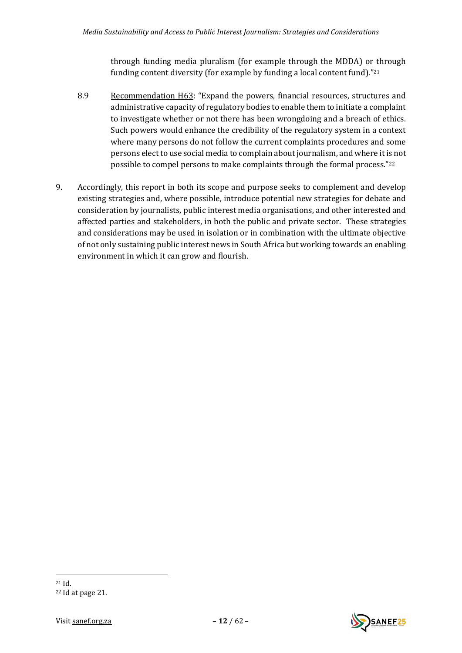through funding media pluralism (for example through the MDDA) or through funding content diversity (for example by funding a local content fund)." 21

- 8.9 Recommendation H63: "Expand the powers, financial resources, structures and administrative capacity of regulatory bodies to enable them to initiate a complaint to investigate whether or not there has been wrongdoing and a breach of ethics. Such powers would enhance the credibility of the regulatory system in a context where many persons do not follow the current complaints procedures and some persons elect to use social media to complain about journalism, and where it is not possible to compel persons to make complaints through the formal process." 22
- 9. Accordingly, this report in both its scope and purpose seeks to complement and develop existing strategies and, where possible, introduce potential new strategies for debate and consideration by journalists, public interest media organisations, and other interested and affected parties and stakeholders, in both the public and private sector. These strategies and considerations may be used in isolation or in combination with the ultimate objective of not only sustaining public interest news in South Africa but working towards an enabling environment in which it can grow and flourish.



<sup>21</sup> Id.

<sup>22</sup> Id at page 21.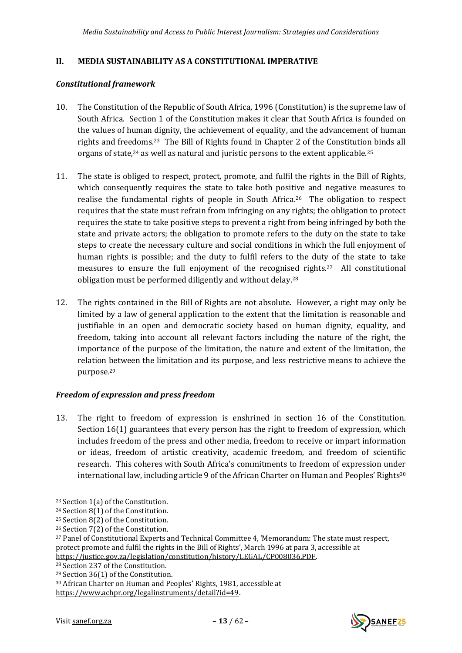## <span id="page-12-0"></span>**II. MEDIA SUSTAINABILITY AS A CONSTITUTIONAL IMPERATIVE**

## <span id="page-12-1"></span>*Constitutional framework*

- 10. The Constitution of the Republic of South Africa, 1996 (Constitution) is the supreme law of South Africa. Section 1 of the Constitution makes it clear that South Africa is founded on the values of human dignity, the achievement of equality, and the advancement of human rights and freedoms.23 The Bill of Rights found in Chapter 2 of the Constitution binds all organs of state, $24$  as well as natural and juristic persons to the extent applicable.<sup>25</sup>
- 11. The state is obliged to respect, protect, promote, and fulfil the rights in the Bill of Rights, which consequently requires the state to take both positive and negative measures to realise the fundamental rights of people in South Africa.26 The obligation to respect requires that the state must refrain from infringing on any rights; the obligation to protect requires the state to take positive steps to prevent a right from being infringed by both the state and private actors; the obligation to promote refers to the duty on the state to take steps to create the necessary culture and social conditions in which the full enjoyment of human rights is possible; and the duty to fulfil refers to the duty of the state to take measures to ensure the full enjoyment of the recognised rights.27 All constitutional obligation must be performed diligently and without delay.<sup>28</sup>
- 12. The rights contained in the Bill of Rights are not absolute. However, a right may only be limited by a law of general application to the extent that the limitation is reasonable and justifiable in an open and democratic society based on human dignity, equality, and freedom, taking into account all relevant factors including the nature of the right, the importance of the purpose of the limitation, the nature and extent of the limitation, the relation between the limitation and its purpose, and less restrictive means to achieve the purpose.<sup>29</sup>

## <span id="page-12-2"></span>*Freedom of expression and press freedom*

13. The right to freedom of expression is enshrined in section 16 of the Constitution. Section 16(1) guarantees that every person has the right to freedom of expression, which includes freedom of the press and other media, freedom to receive or impart information or ideas, freedom of artistic creativity, academic freedom, and freedom of scientific research. This coheres with South Africa's commitments to freedom of expression under international law, including article 9 of the African Charter on Human and Peoples' Rights<sup>30</sup>

<sup>28</sup> Section 237 of the Constitution.



<sup>23</sup> Section 1(a) of the Constitution.

<sup>24</sup> Section 8(1) of the Constitution.

<sup>25</sup> Section 8(2) of the Constitution.

<sup>26</sup> Section 7(2) of the Constitution.

<sup>27</sup> Panel of Constitutional Experts and Technical Committee 4, 'Memorandum: The state must respect, protect promote and fulfil the rights in the Bill of Rights', March 1996 at para 3, accessible at [https://justice.gov.za/legislation/constitution/history/LEGAL/CP008036.PDF.](https://justice.gov.za/legislation/constitution/history/LEGAL/CP008036.PDF)

<sup>29</sup> Section 36(1) of the Constitution.

<sup>30</sup> African Charter on Human and Peoples' Rights, 1981, accessible at [https://www.achpr.org/legalinstruments/detail?id=49.](https://www.achpr.org/legalinstruments/detail?id=49)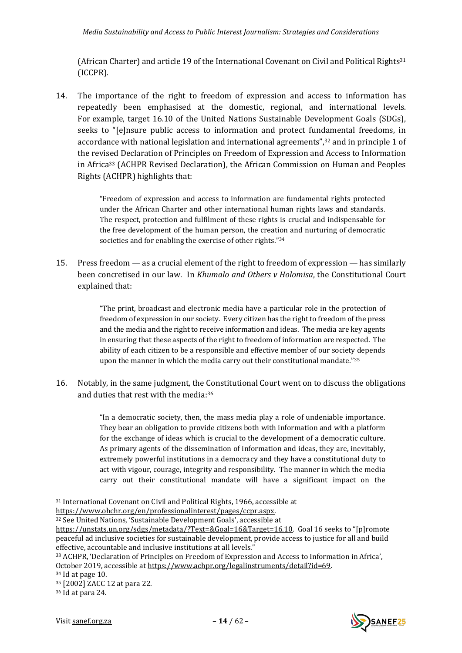(African Charter) and article 19 of the International Covenant on Civil and Political Rights<sup>31</sup> (ICCPR).

14. The importance of the right to freedom of expression and access to information has repeatedly been emphasised at the domestic, regional, and international levels. For example, target 16.10 of the United Nations Sustainable Development Goals (SDGs), seeks to "[e]nsure public access to information and protect fundamental freedoms, in accordance with national legislation and international agreements",<sup>32</sup> and in principle 1 of the revised Declaration of Principles on Freedom of Expression and Access to Information in Africa<sup>33</sup> (ACHPR Revised Declaration), the African Commission on Human and Peoples Rights (ACHPR) highlights that:

> <span id="page-13-0"></span>"Freedom of expression and access to information are fundamental rights protected under the African Charter and other international human rights laws and standards. The respect, protection and fulfilment of these rights is crucial and indispensable for the free development of the human person, the creation and nurturing of democratic societies and for enabling the exercise of other rights."34

15. Press freedom — as a crucial element of the right to freedom of expression — has similarly been concretised in our law. In *Khumalo and Others v Holomisa*, the Constitutional Court explained that:

> "The print, broadcast and electronic media have a particular role in the protection of freedom of expression in our society. Every citizen has the right to freedom of the press and the media and the right to receive information and ideas. The media are key agents in ensuring that these aspects of the right to freedom of information are respected. The ability of each citizen to be a responsible and effective member of our society depends upon the manner in which the media carry out their constitutional mandate."<sup>35</sup>

16. Notably, in the same judgment, the Constitutional Court went on to discuss the obligations and duties that rest with the media:<sup>36</sup>

> "In a democratic society, then, the mass media play a role of undeniable importance. They bear an obligation to provide citizens both with information and with a platform for the exchange of ideas which is crucial to the development of a democratic culture. As primary agents of the dissemination of information and ideas, they are, inevitably, extremely powerful institutions in a democracy and they have a constitutional duty to act with vigour, courage, integrity and responsibility. The manner in which the media carry out their constitutional mandate will have a significant impact on the

<sup>32</sup> See United Nations, 'Sustainable Development Goals', accessible at



<sup>31</sup> International Covenant on Civil and Political Rights, 1966, accessible at [https://www.ohchr.org/en/professionalinterest/pages/ccpr.aspx.](https://www.ohchr.org/en/professionalinterest/pages/ccpr.aspx)

[https://unstats.un.org/sdgs/metadata/?Text=&Goal=16&Target=16.10.](https://unstats.un.org/sdgs/metadata/?Text=&Goal=16&Target=16.10) Goal 16 seeks to "[p]romote peaceful ad inclusive societies for sustainable development, provide access to justice for all and build effective, accountable and inclusive institutions at all levels."

<sup>33</sup> ACHPR, 'Declaration of Principles on Freedom of Expression and Access to Information in Africa', October 2019, accessible a[t https://www.achpr.org/legalinstruments/detail?id=69.](https://www.achpr.org/legalinstruments/detail?id=69)

<sup>34</sup> Id at page 10.

<sup>35</sup> [2002] ZACC 12 at para 22.

<sup>36</sup> Id at para 24.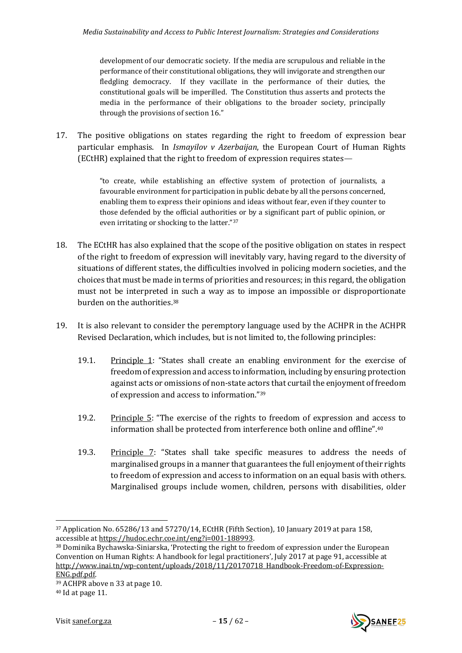development of our democratic society. If the media are scrupulous and reliable in the performance of their constitutional obligations, they will invigorate and strengthen our fledgling democracy. If they vacillate in the performance of their duties, the constitutional goals will be imperilled. The Constitution thus asserts and protects the media in the performance of their obligations to the broader society, principally through the provisions of section 16."

17. The positive obligations on states regarding the right to freedom of expression bear particular emphasis. In *Ismayilov v Azerbaijan*, the European Court of Human Rights (ECtHR) explained that the right to freedom of expression requires states—

> "to create, while establishing an effective system of protection of journalists, a favourable environment for participation in public debate by all the persons concerned, enabling them to express their opinions and ideas without fear, even if they counter to those defended by the official authorities or by a significant part of public opinion, or even irritating or shocking to the latter."<sup>37</sup>

- 18. The ECtHR has also explained that the scope of the positive obligation on states in respect of the right to freedom of expression will inevitably vary, having regard to the diversity of situations of different states, the difficulties involved in policing modern societies, and the choices that must be made in terms of priorities and resources; in this regard, the obligation must not be interpreted in such a way as to impose an impossible or disproportionate burden on the authorities.<sup>38</sup>
- 19. It is also relevant to consider the peremptory language used by the ACHPR in the ACHPR Revised Declaration, which includes, but is not limited to, the following principles:
	- 19.1. Principle 1: "States shall create an enabling environment for the exercise of freedom of expression and access to information, including by ensuring protection against acts or omissions of non-state actors that curtail the enjoyment of freedom of expression and access to information." 39
	- 19.2. Principle 5: "The exercise of the rights to freedom of expression and access to information shall be protected from interference both online and offline". 40
	- 19.3. Principle 7: "States shall take specific measures to address the needs of marginalised groups in a manner that guarantees the full enjoyment of their rights to freedom of expression and access to information on an equal basis with others. Marginalised groups include women, children, persons with disabilities, older

<sup>40</sup> Id at page 11.



<sup>37</sup> Application No. 65286/13 and 57270/14, ECtHR (Fifth Section), 10 January 2019 at para 158, accessible a[t https://hudoc.echr.coe.int/eng?i=001-188993.](https://hudoc.echr.coe.int/eng?i=001-188993)

<sup>38</sup> Dominika Bychawska-Siniarska, 'Protecting the right to freedom of expression under the European Convention on Human Rights: A handbook for legal practitioners', July 2017 at page 91, accessible at [http://www.inai.tn/wp-content/uploads/2018/11/20170718\\_Handbook-Freedom-of-Expression-](http://www.inai.tn/wp-content/uploads/2018/11/20170718_Handbook-Freedom-of-Expression-ENG.pdf.pdf)[ENG.pdf.pdf.](http://www.inai.tn/wp-content/uploads/2018/11/20170718_Handbook-Freedom-of-Expression-ENG.pdf.pdf)

<sup>39</sup> ACHPR above n [33](#page-13-0) at page 10.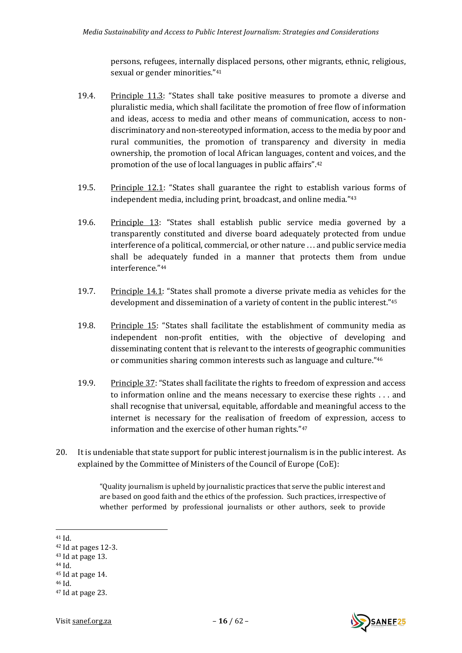persons, refugees, internally displaced persons, other migrants, ethnic, religious, sexual or gender minorities." 41

- 19.4. Principle 11.3: "States shall take positive measures to promote a diverse and pluralistic media, which shall facilitate the promotion of free flow of information and ideas, access to media and other means of communication, access to nondiscriminatory and non-stereotyped information, access to the media by poor and rural communities, the promotion of transparency and diversity in media ownership, the promotion of local African languages, content and voices, and the promotion of the use of local languages in public affairs".<sup>42</sup>
- 19.5. Principle 12.1: "States shall guarantee the right to establish various forms of independent media, including print, broadcast, and online media." 43
- 19.6. Principle 13: "States shall establish public service media governed by a transparently constituted and diverse board adequately protected from undue interference of a political, commercial, or other nature . . . and public service media shall be adequately funded in a manner that protects them from undue interference." 44
- 19.7. Principle 14.1: "States shall promote a diverse private media as vehicles for the development and dissemination of a variety of content in the public interest." 45
- 19.8. Principle 15: "States shall facilitate the establishment of community media as independent non-profit entities, with the objective of developing and disseminating content that is relevant to the interests of geographic communities or communities sharing common interests such as language and culture." 46
- 19.9. Principle 37: "States shall facilitate the rights to freedom of expression and access to information online and the means necessary to exercise these rights . . . and shall recognise that universal, equitable, affordable and meaningful access to the internet is necessary for the realisation of freedom of expression, access to information and the exercise of other human rights." 47
- 20. It is undeniable that state support for public interest journalism is in the public interest. As explained by the Committee of Ministers of the Council of Europe (CoE):

"Quality journalism is upheld by journalistic practices that serve the public interest and are based on good faith and the ethics of the profession. Such practices, irrespective of whether performed by professional journalists or other authors, seek to provide

<sup>44</sup> Id.



<sup>41</sup> Id.

<sup>42</sup> Id at pages 12-3.

 $43$  Id at page 13.

<sup>45</sup> Id at page 14.

<sup>46</sup> Id.

<sup>47</sup> Id at page 23.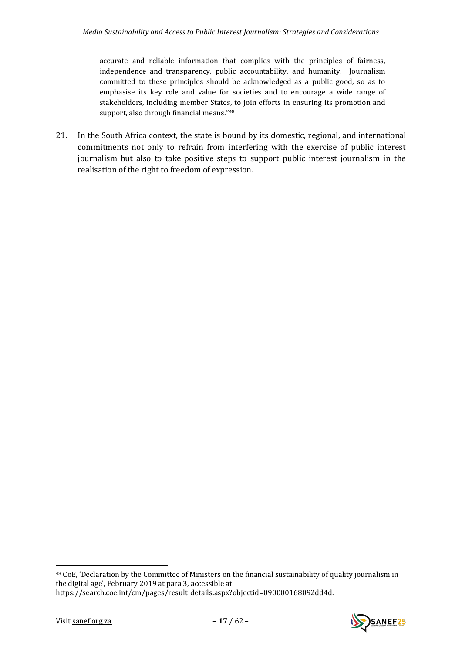<span id="page-16-0"></span>accurate and reliable information that complies with the principles of fairness, independence and transparency, public accountability, and humanity. Journalism committed to these principles should be acknowledged as a public good, so as to emphasise its key role and value for societies and to encourage a wide range of stakeholders, including member States, to join efforts in ensuring its promotion and support, also through financial means."<sup>48</sup>

21. In the South Africa context, the state is bound by its domestic, regional, and international commitments not only to refrain from interfering with the exercise of public interest journalism but also to take positive steps to support public interest journalism in the realisation of the right to freedom of expression.



<sup>48</sup> CoE, 'Declaration by the Committee of Ministers on the financial sustainability of quality journalism in the digital age', February 2019 at para 3, accessible at [https://search.coe.int/cm/pages/result\\_details.aspx?objectid=090000168092dd4d.](https://search.coe.int/cm/pages/result_details.aspx?objectid=090000168092dd4d)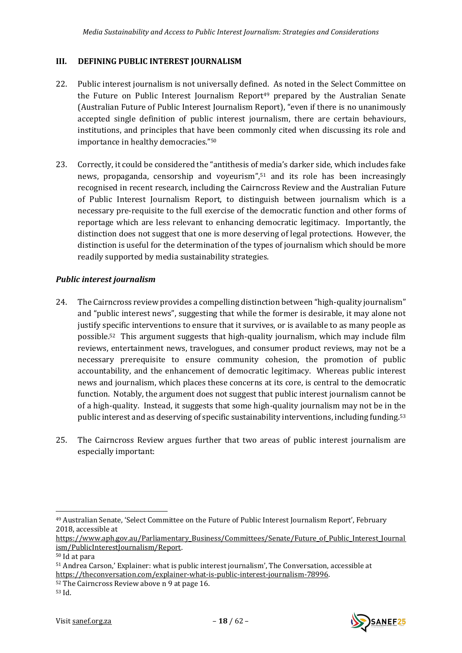## <span id="page-17-0"></span>**III. DEFINING PUBLIC INTEREST JOURNALISM**

- <span id="page-17-2"></span>22. Public interest journalism is not universally defined. As noted in the Select Committee on the Future on Public Interest Journalism Report<sup>49</sup> prepared by the Australian Senate (Australian Future of Public Interest Journalism Report), "even if there is no unanimously accepted single definition of public interest journalism, there are certain behaviours, institutions, and principles that have been commonly cited when discussing its role and importance in healthy democracies."<sup>50</sup>
- 23. Correctly, it could be considered the "antithesis of media's darker side, which includes fake news, propaganda, censorship and voyeurism",<sup>51</sup> and its role has been increasingly recognised in recent research, including the Cairncross Review and the Australian Future of Public Interest Journalism Report, to distinguish between journalism which is a necessary pre-requisite to the full exercise of the democratic function and other forms of reportage which are less relevant to enhancing democratic legitimacy. Importantly, the distinction does not suggest that one is more deserving of legal protections. However, the distinction is useful for the determination of the types of journalism which should be more readily supported by media sustainability strategies.

# <span id="page-17-1"></span>*Public interest journalism*

- 24. The Cairncross review provides a compelling distinction between "high-quality journalism" and "public interest news", suggesting that while the former is desirable, it may alone not justify specific interventions to ensure that it survives, or is available to as many people as possible.52 This argument suggests that high-quality journalism, which may include film reviews, entertainment news, travelogues, and consumer product reviews, may not be a necessary prerequisite to ensure community cohesion, the promotion of public accountability, and the enhancement of democratic legitimacy. Whereas public interest news and journalism, which places these concerns at its core, is central to the democratic function. Notably, the argument does not suggest that public interest journalism cannot be of a high-quality. Instead, it suggests that some high-quality journalism may not be in the public interest and as deserving of specific sustainability interventions, including funding.<sup>53</sup>
- 25. The Cairncross Review argues further that two areas of public interest journalism are especially important:



<sup>49</sup> Australian Senate, 'Select Committee on the Future of Public Interest Journalism Report', February 2018, accessible at

[https://www.aph.gov.au/Parliamentary\\_Business/Committees/Senate/Future\\_of\\_Public\\_Interest\\_Journal](https://www.aph.gov.au/Parliamentary_Business/Committees/Senate/Future_of_Public_Interest_Journalism/PublicInterestJournalism/Report) [ism/PublicInterestJournalism/Report.](https://www.aph.gov.au/Parliamentary_Business/Committees/Senate/Future_of_Public_Interest_Journalism/PublicInterestJournalism/Report)

<sup>50</sup> Id at para

<sup>51</sup> Andrea Carson,' Explainer: what is public interest journalism', The Conversation, accessible at [https://theconversation.com/explainer-what-is-public-interest-journalism-78996.](https://theconversation.com/explainer-what-is-public-interest-journalism-78996)

<sup>52</sup> The Cairncross Review above n [9](#page-8-1) at page 16.

<sup>53</sup> Id.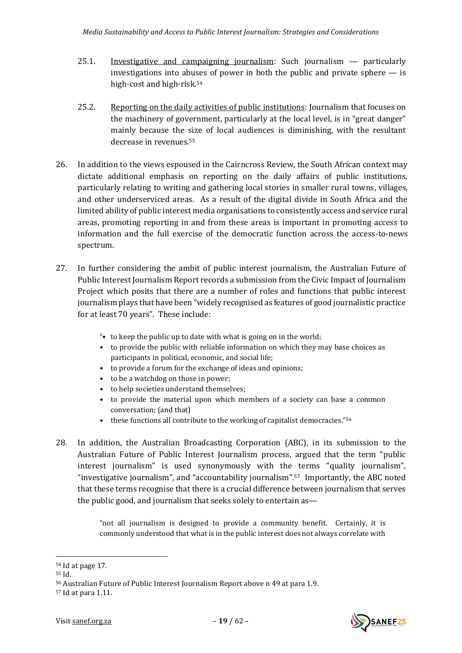- 25.1. Investigative and campaigning journalism: Such journalism particularly investigations into abuses of power in both the public and private sphere — is high-cost and high-risk. 54
- 25.2. Reporting on the daily activities of public institutions: Journalism that focuses on the machinery of government, particularly at the local level, is in "great danger" mainly because the size of local audiences is diminishing, with the resultant decrease in revenues.<sup>55</sup>
- 26. In addition to the views espoused in the Cairncross Review, the South African context may dictate additional emphasis on reporting on the daily affairs of public institutions, particularly relating to writing and gathering local stories in smaller rural towns, villages, and other underserviced areas. As a result of the digital divide in South Africa and the limited ability of public interest media organisations to consistently access and service rural areas, promoting reporting in and from these areas is important in promoting access to information and the full exercise of the democratic function across the access-to-news spectrum.
- 27. In further considering the ambit of public interest journalism, the Australian Future of Public Interest Journalism Report records a submission from the Civic Impact of Journalism Project which posits that there are a number of roles and functions that public interest journalism plays that have been "widely recognised as features of good journalistic practice for at least 70 years". These include:
	- "• to keep the public up to date with what is going on in the world;
	- to provide the public with reliable information on which they may base choices as participants in political, economic, and social life;
	- to provide a forum for the exchange of ideas and opinions;
	- to be a watchdog on those in power;
	- to help societies understand themselves;
	- to provide the material upon which members of a society can base a common conversation; (and that)
	- these functions all contribute to the working of capitalist democracies."<sup>56</sup>
- 28. In addition, the Australian Broadcasting Corporation (ABC), in its submission to the Australian Future of Public Interest Journalism process, argued that the term "public interest journalism" is used synonymously with the terms "quality journalism", "investigative journalism", and "accountability journalism".57 Importantly, the ABC noted that these terms recognise that there is a crucial difference between journalism that serves the public good, and journalism that seeks solely to entertain as—

"not all journalism is designed to provide a community benefit. Certainly, it is commonly understood that what is in the public interest does not always correlate with



<sup>54</sup> Id at page 17.

<sup>55</sup> Id.

<sup>56</sup> Australian Future of Public Interest Journalism Report above [n 49](#page-17-2) at para 1.9.

<sup>57</sup> Id at para 1.11.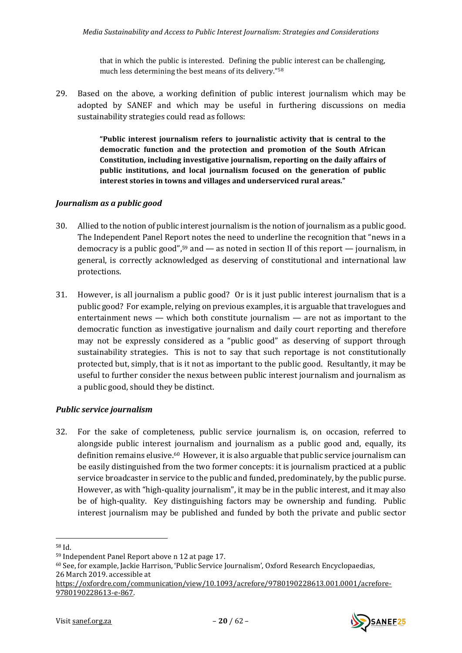that in which the public is interested. Defining the public interest can be challenging, much less determining the best means of its delivery."<sup>58</sup>

29. Based on the above, a working definition of public interest journalism which may be adopted by SANEF and which may be useful in furthering discussions on media sustainability strategies could read as follows:

> **"Public interest journalism refers to journalistic activity that is central to the democratic function and the protection and promotion of the South African Constitution, including investigative journalism, reporting on the daily affairs of public institutions, and local journalism focused on the generation of public interest stories in towns and villages and underserviced rural areas."**

## <span id="page-19-0"></span>*Journalism as a public good*

- 30. Allied to the notion of public interest journalism is the notion of journalism as a public good. The Independent Panel Report notes the need to underline the recognition that "news in a democracy is a public good",<sup>59</sup> and  $-$  as noted in section II of this report  $-$  journalism, in general, is correctly acknowledged as deserving of constitutional and international law protections.
- 31. However, is all journalism a public good? Or is it just public interest journalism that is a public good? For example, relying on previous examples, it is arguable that travelogues and entertainment news — which both constitute journalism — are not as important to the democratic function as investigative journalism and daily court reporting and therefore may not be expressly considered as a "public good" as deserving of support through sustainability strategies. This is not to say that such reportage is not constitutionally protected but, simply, that is it not as important to the public good. Resultantly, it may be useful to further consider the nexus between public interest journalism and journalism as a public good, should they be distinct.

## <span id="page-19-1"></span>*Public service journalism*

32. For the sake of completeness, public service journalism is, on occasion, referred to alongside public interest journalism and journalism as a public good and, equally, its definition remains elusive. <sup>60</sup> However, it is also arguable that public service journalism can be easily distinguished from the two former concepts: it is journalism practiced at a public service broadcaster in service to the public and funded, predominately, by the public purse. However, as with "high-quality journalism", it may be in the public interest, and it may also be of high-quality. Key distinguishing factors may be ownership and funding. Public interest journalism may be published and funded by both the private and public sector



<sup>58</sup> Id.

<sup>59</sup> Independent Panel Report above [n 12](#page-9-2) at page 17.

<sup>60</sup> See, for example, Jackie Harrison, 'Public Service Journalism', Oxford Research Encyclopaedias, 26 March 2019. accessible at

[https://oxfordre.com/communication/view/10.1093/acrefore/9780190228613.001.0001/acrefore-](https://oxfordre.com/communication/view/10.1093/acrefore/9780190228613.001.0001/acrefore-9780190228613-e-867)[9780190228613-e-867.](https://oxfordre.com/communication/view/10.1093/acrefore/9780190228613.001.0001/acrefore-9780190228613-e-867)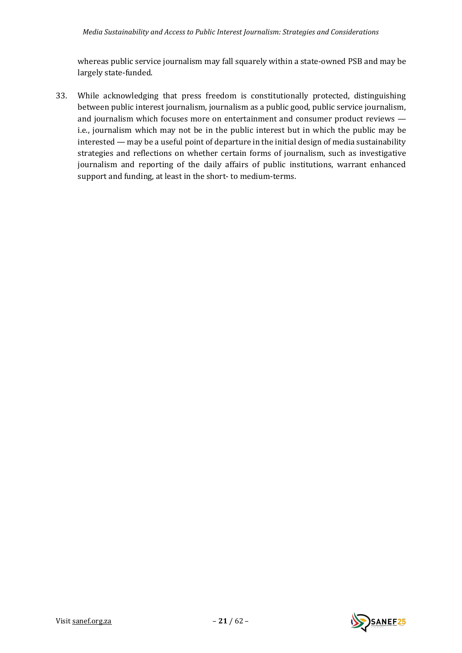whereas public service journalism may fall squarely within a state-owned PSB and may be largely state-funded.

33. While acknowledging that press freedom is constitutionally protected, distinguishing between public interest journalism, journalism as a public good, public service journalism, and journalism which focuses more on entertainment and consumer product reviews i.e., journalism which may not be in the public interest but in which the public may be interested — may be a useful point of departure in the initial design of media sustainability strategies and reflections on whether certain forms of journalism, such as investigative journalism and reporting of the daily affairs of public institutions, warrant enhanced support and funding, at least in the short- to medium-terms.

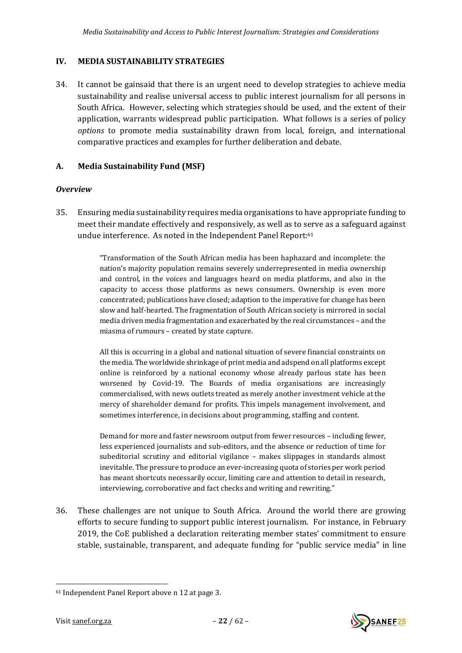## <span id="page-21-0"></span>**IV. MEDIA SUSTAINABILITY STRATEGIES**

34. It cannot be gainsaid that there is an urgent need to develop strategies to achieve media sustainability and realise universal access to public interest journalism for all persons in South Africa. However, selecting which strategies should be used, and the extent of their application, warrants widespread public participation. What follows is a series of policy *options* to promote media sustainability drawn from local, foreign, and international comparative practices and examples for further deliberation and debate.

## <span id="page-21-1"></span>**A. Media Sustainability Fund (MSF)**

#### <span id="page-21-2"></span>*Overview*

35. Ensuring media sustainability requires media organisations to have appropriate funding to meet their mandate effectively and responsively, as well as to serve as a safeguard against undue interference. As noted in the Independent Panel Report:<sup>61</sup>

> "Transformation of the South African media has been haphazard and incomplete: the nation's majority population remains severely underrepresented in media ownership and control, in the voices and languages heard on media platforms, and also in the capacity to access those platforms as news consumers. Ownership is even more concentrated; publications have closed; adaption to the imperative for change has been slow and half-hearted. The fragmentation of South African society is mirrored in social media driven media fragmentation and exacerbated by the real circumstances – and the miasma of rumours – created by state capture.

> All this is occurring in a global and national situation of severe financial constraints on the media. The worldwide shrinkage of print media and adspend on all platforms except online is reinforced by a national economy whose already parlous state has been worsened by Covid-19. The Boards of media organisations are increasingly commercialised, with news outlets treated as merely another investment vehicle at the mercy of shareholder demand for profits. This impels management involvement, and sometimes interference, in decisions about programming, staffing and content.

> Demand for more and faster newsroom output from fewer resources – including fewer, less experienced journalists and sub-editors, and the absence or reduction of time for subeditorial scrutiny and editorial vigilance – makes slippages in standards almost inevitable. The pressure to produce an ever-increasing quota of stories per work period has meant shortcuts necessarily occur, limiting care and attention to detail in research, interviewing, corroborative and fact checks and writing and rewriting."

36. These challenges are not unique to South Africa. Around the world there are growing efforts to secure funding to support public interest journalism. For instance, in February 2019, the CoE published a declaration reiterating member states' commitment to ensure stable, sustainable, transparent, and adequate funding for "public service media" in line

<sup>61</sup> Independent Panel Report above [n 12](#page-9-2) at page 3.



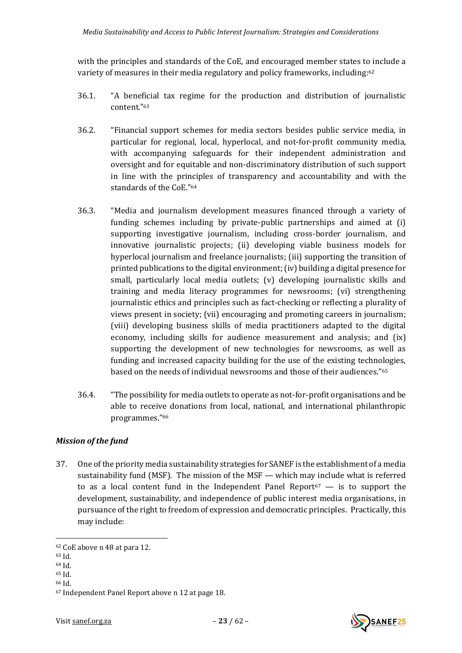with the principles and standards of the CoE, and encouraged member states to include a variety of measures in their media regulatory and policy frameworks, including:<sup>62</sup>

- 36.1. "A beneficial tax regime for the production and distribution of journalistic content." 63
- 36.2. "Financial support schemes for media sectors besides public service media, in particular for regional, local, hyperlocal, and not-for-profit community media, with accompanying safeguards for their independent administration and oversight and for equitable and non-discriminatory distribution of such support in line with the principles of transparency and accountability and with the standards of the CoE." 64
- 36.3. "Media and journalism development measures financed through a variety of funding schemes including by private-public partnerships and aimed at (i) supporting investigative journalism, including cross-border journalism, and innovative journalistic projects; (ii) developing viable business models for hyperlocal journalism and freelance journalists; (iii) supporting the transition of printed publications to the digital environment;(iv) building a digital presence for small, particularly local media outlets; (v) developing journalistic skills and training and media literacy programmes for newsrooms; (vi) strengthening journalistic ethics and principles such as fact-checking or reflecting a plurality of views present in society; (vii) encouraging and promoting careers in journalism; (viii) developing business skills of media practitioners adapted to the digital economy, including skills for audience measurement and analysis; and (ix) supporting the development of new technologies for newsrooms, as well as funding and increased capacity building for the use of the existing technologies, based on the needs of individual newsrooms and those of their audiences." 65
- 36.4. "The possibility for media outlets to operate as not-for-profit organisations and be able to receive donations from local, national, and international philanthropic programmes." 66

# <span id="page-22-0"></span>*Mission of the fund*

37. One of the priority media sustainability strategies for SANEF is the establishment of a media sustainability fund (MSF). The mission of the MSF  $-$  which may include what is referred to as a local content fund in the Independent Panel Report $67 - 1$  is to support the development, sustainability, and independence of public interest media organisations, in pursuance of the right to freedom of expression and democratic principles. Practically, this may include:



<sup>62</sup> CoE above n [48](#page-16-0) at para 12.

<sup>63</sup> Id.

<sup>64</sup> Id.

<sup>65</sup> Id.

<sup>66</sup> Id.

<sup>67</sup> Independent Panel Report above [n 12](#page-9-2) at page 18.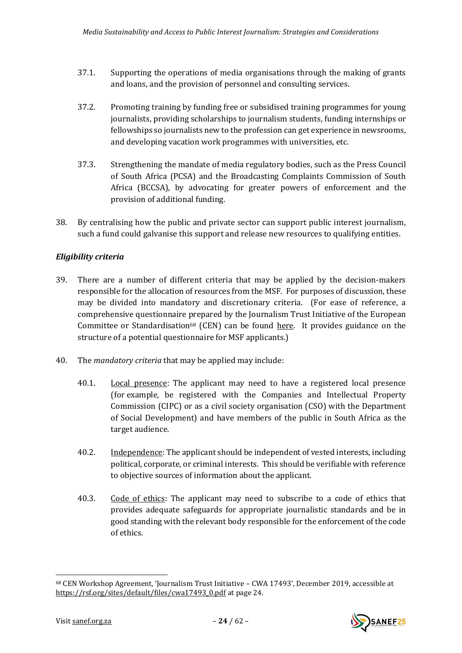- 37.1. Supporting the operations of media organisations through the making of grants and loans, and the provision of personnel and consulting services.
- 37.2. Promoting training by funding free or subsidised training programmes for young journalists, providing scholarships to journalism students, funding internships or fellowships so journalists new to the profession can get experience in newsrooms, and developing vacation work programmes with universities, etc.
- 37.3. Strengthening the mandate of media regulatory bodies, such as the Press Council of South Africa (PCSA) and the Broadcasting Complaints Commission of South Africa (BCCSA), by advocating for greater powers of enforcement and the provision of additional funding.
- 38. By centralising how the public and private sector can support public interest journalism, such a fund could galvanise this support and release new resources to qualifying entities.

# <span id="page-23-0"></span>*Eligibility criteria*

- 39. There are a number of different criteria that may be applied by the decision-makers responsible for the allocation of resources from the MSF. For purposes of discussion, these may be divided into mandatory and discretionary criteria. (For ease of reference, a comprehensive questionnaire prepared by the Journalism Trust Initiative of the European Committee or Standardisation<sup>68</sup> (CEN) can be found [here.](file:///E:/Users/izakm/Downloads/CEN%20Workshop%20Agreement,%20‘Journalism%20Trust%20Initiative%20–%20CWA%2017493’,%20December%202019,%20accessible%20at%20https:/rsf.org/sites/default/files/cwa17493_0.pdf) It provides guidance on the structure of a potential questionnaire for MSF applicants.)
- 40. The *mandatory criteria* that may be applied may include:
	- 40.1. Local presence: The applicant may need to have a registered local presence (for example, be registered with the Companies and Intellectual Property Commission (CIPC) or as a civil society organisation (CSO) with the Department of Social Development) and have members of the public in South Africa as the target audience.
	- 40.2. Independence: The applicant should be independent of vested interests, including political, corporate, or criminal interests. This should be verifiable with reference to objective sources of information about the applicant.
	- 40.3. Code of ethics: The applicant may need to subscribe to a code of ethics that provides adequate safeguards for appropriate journalistic standards and be in good standing with the relevant body responsible for the enforcement of the code of ethics.

<sup>68</sup> CEN Workshop Agreement, 'Journalism Trust Initiative – CWA 17493', December 2019, accessible at [https://rsf.org/sites/default/files/cwa17493\\_0.pdf](https://rsf.org/sites/default/files/cwa17493_0.pdf) at page 24.

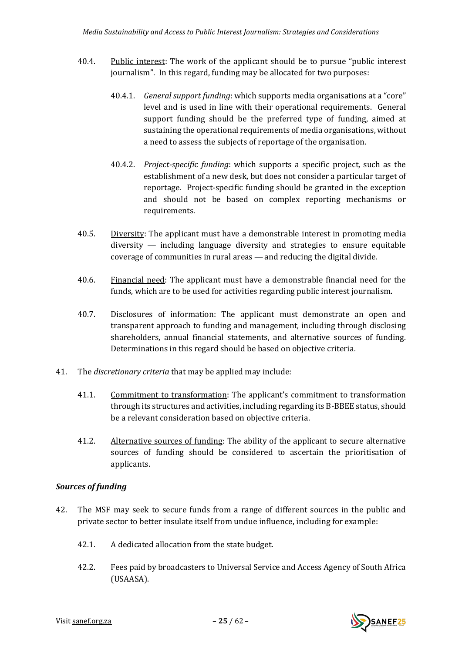- 40.4. Public interest: The work of the applicant should be to pursue "public interest journalism". In this regard, funding may be allocated for two purposes:
	- 40.4.1. *General support funding*: which supports media organisations at a "core" level and is used in line with their operational requirements. General support funding should be the preferred type of funding, aimed at sustaining the operational requirements of media organisations, without a need to assess the subjects of reportage of the organisation.
	- 40.4.2. *Project-specifi*c *funding*: which supports a specific project, such as the establishment of a new desk, but does not consider a particular target of reportage. Project-specific funding should be granted in the exception and should not be based on complex reporting mechanisms or requirements.
- 40.5. Diversity: The applicant must have a demonstrable interest in promoting media diversity — including language diversity and strategies to ensure equitable coverage of communities in rural areas — and reducing the digital divide.
- 40.6. Financial need: The applicant must have a demonstrable financial need for the funds, which are to be used for activities regarding public interest journalism.
- 40.7. Disclosures of information: The applicant must demonstrate an open and transparent approach to funding and management, including through disclosing shareholders, annual financial statements, and alternative sources of funding. Determinations in this regard should be based on objective criteria.
- 41. The *discretionary criteria* that may be applied may include:
	- 41.1. Commitment to transformation: The applicant's commitment to transformation through its structures and activities, including regarding its B-BBEE status, should be a relevant consideration based on objective criteria.
	- 41.2. Alternative sources of funding: The ability of the applicant to secure alternative sources of funding should be considered to ascertain the prioritisation of applicants.

# <span id="page-24-0"></span>*Sources of funding*

- 42. The MSF may seek to secure funds from a range of different sources in the public and private sector to better insulate itself from undue influence, including for example:
	- 42.1. A dedicated allocation from the state budget.
	- 42.2. Fees paid by broadcasters to Universal Service and Access Agency of South Africa (USAASA).

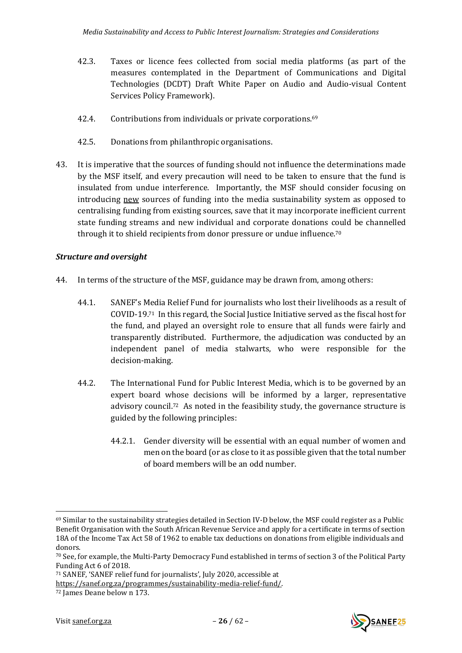- 42.3. Taxes or licence fees collected from social media platforms (as part of the measures contemplated in the Department of Communications and Digital Technologies (DCDT) Draft White Paper on Audio and Audio-visual Content Services Policy Framework).
- 42.4. Contributions from individuals or private corporations.<sup>69</sup>
- 42.5. Donations from philanthropic organisations.
- 43. It is imperative that the sources of funding should not influence the determinations made by the MSF itself, and every precaution will need to be taken to ensure that the fund is insulated from undue interference. Importantly, the MSF should consider focusing on introducing new sources of funding into the media sustainability system as opposed to centralising funding from existing sources, save that it may incorporate inefficient current state funding streams and new individual and corporate donations could be channelled through it to shield recipients from donor pressure or undue influence. 70

## <span id="page-25-0"></span>*Structure and oversight*

- 44. In terms of the structure of the MSF, guidance may be drawn from, among others:
	- 44.1. SANEF's Media Relief Fund for journalists who lost their livelihoods as a result of COVID-19.71 In this regard, the Social Justice Initiative served as the fiscal host for the fund, and played an oversight role to ensure that all funds were fairly and transparently distributed. Furthermore, the adjudication was conducted by an independent panel of media stalwarts, who were responsible for the decision-making.
	- 44.2. The International Fund for Public Interest Media, which is to be governed by an expert board whose decisions will be informed by a larger, representative advisory council.72 As noted in the feasibility study, the governance structure is guided by the following principles:
		- 44.2.1. Gender diversity will be essential with an equal number of women and men on the board (or as close to it as possible given that the total number of board members will be an odd number.



 $69$  Similar to the sustainability strategies detailed in Section IV-D below, the MSF could register as a Public Benefit Organisation with the South African Revenue Service and apply for a certificate in terms of section 18A of the Income Tax Act 58 of 1962 to enable tax deductions on donations from eligible individuals and donors.

<sup>70</sup> See, for example, the Multi-Party Democracy Fund established in terms of section 3 of the Political Party Funding Act 6 of 2018.

<sup>71</sup> SANEF, 'SANEF relief fund for journalists', July 2020, accessible at

[https://sanef.org.za/programmes/sustainability-media-relief-fund/.](https://sanef.org.za/programmes/sustainability-media-relief-fund/)

<sup>72</sup> James Deane below n [173.](#page-61-1)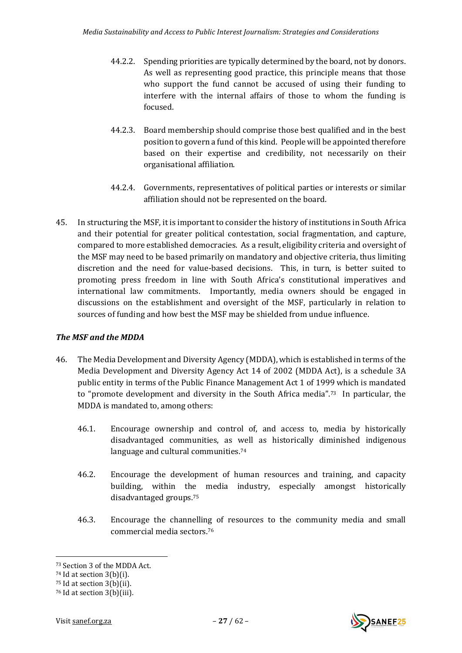- 44.2.2. Spending priorities are typically determined by the board, not by donors. As well as representing good practice, this principle means that those who support the fund cannot be accused of using their funding to interfere with the internal affairs of those to whom the funding is focused.
- 44.2.3. Board membership should comprise those best qualified and in the best position to govern a fund of this kind. People will be appointed therefore based on their expertise and credibility, not necessarily on their organisational affiliation.
- 44.2.4. Governments, representatives of political parties or interests or similar affiliation should not be represented on the board.
- 45. In structuring the MSF, it is important to consider the history of institutions in South Africa and their potential for greater political contestation, social fragmentation, and capture, compared to more established democracies. As a result, eligibility criteria and oversight of the MSF may need to be based primarily on mandatory and objective criteria, thus limiting discretion and the need for value-based decisions. This, in turn, is better suited to promoting press freedom in line with South Africa's constitutional imperatives and international law commitments. Importantly, media owners should be engaged in discussions on the establishment and oversight of the MSF, particularly in relation to sources of funding and how best the MSF may be shielded from undue influence.

## <span id="page-26-0"></span>*The MSF and the MDDA*

- 46. The Media Development and Diversity Agency (MDDA), which is established in terms of the Media Development and Diversity Agency Act 14 of 2002 (MDDA Act), is a schedule 3A public entity in terms of the Public Finance Management Act 1 of 1999 which is mandated to "promote development and diversity in the South Africa media".73 In particular, the MDDA is mandated to, among others:
	- 46.1. Encourage ownership and control of, and access to, media by historically disadvantaged communities, as well as historically diminished indigenous language and cultural communities.<sup>74</sup>
	- 46.2. Encourage the development of human resources and training, and capacity building, within the media industry, especially amongst historically disadvantaged groups.<sup>75</sup>
	- 46.3. Encourage the channelling of resources to the community media and small commercial media sectors.<sup>76</sup>



<sup>73</sup> Section 3 of the MDDA Act.

<sup>74</sup> Id at section 3(b)(i).

<sup>75</sup> Id at section 3(b)(ii).

<sup>76</sup> Id at section 3(b)(iii).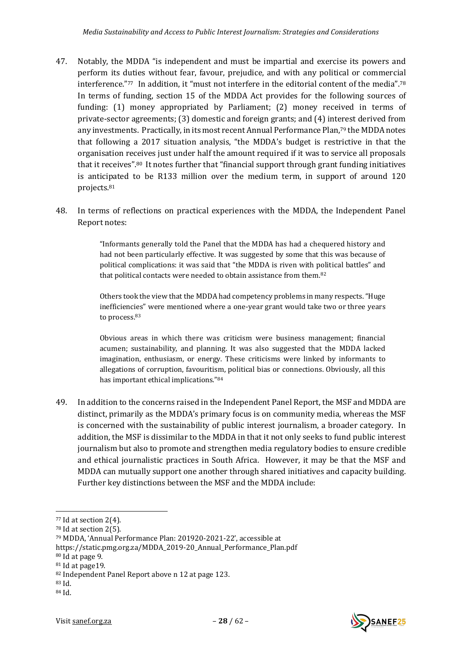- 47. Notably, the MDDA "is independent and must be impartial and exercise its powers and perform its duties without fear, favour, prejudice, and with any political or commercial interference."<sup>77</sup> In addition, it "must not interfere in the editorial content of the media".<sup>78</sup> In terms of funding, section 15 of the MDDA Act provides for the following sources of funding: (1) money appropriated by Parliament; (2) money received in terms of private-sector agreements; (3) domestic and foreign grants; and (4) interest derived from any investments. Practically, in its most recent Annual Performance Plan,<sup>79</sup> the MDDA notes that following a 2017 situation analysis, "the MDDA's budget is restrictive in that the organisation receives just under half the amount required if it was to service all proposals that it receives".<sup>80</sup> It notes further that "financial support through grant funding initiatives is anticipated to be R133 million over the medium term, in support of around 120 projects.<sup>81</sup>
- 48. In terms of reflections on practical experiences with the MDDA, the Independent Panel Report notes:

"Informants generally told the Panel that the MDDA has had a chequered history and had not been particularly effective. It was suggested by some that this was because of political complications: it was said that "the MDDA is riven with political battles" and that political contacts were needed to obtain assistance from them.<sup>82</sup>

Others took the view that the MDDA had competency problems in many respects. "Huge inefficiencies" were mentioned where a one-year grant would take two or three years to process.<sup>83</sup>

Obvious areas in which there was criticism were business management; financial acumen; sustainability, and planning. It was also suggested that the MDDA lacked imagination, enthusiasm, or energy. These criticisms were linked by informants to allegations of corruption, favouritism, political bias or connections. Obviously, all this has important ethical implications." 84

49. In addition to the concerns raised in the Independent Panel Report, the MSF and MDDA are distinct, primarily as the MDDA's primary focus is on community media, whereas the MSF is concerned with the sustainability of public interest journalism, a broader category. In addition, the MSF is dissimilar to the MDDA in that it not only seeks to fund public interest journalism but also to promote and strengthen media regulatory bodies to ensure credible and ethical journalistic practices in South Africa. However, it may be that the MSF and MDDA can mutually support one another through shared initiatives and capacity building. Further key distinctions between the MSF and the MDDA include:



 $77$  Id at section 2(4).

<sup>78</sup> Id at section 2(5).

<sup>79</sup> MDDA, 'Annual Performance Plan: 201920-2021-22', accessible at

https://static.pmg.org.za/MDDA\_2019-20\_Annual\_Performance\_Plan.pdf

<sup>80</sup> Id at page 9.

<sup>81</sup> Id at page19.

<sup>82</sup> Independent Panel Report above [n 12](#page-9-2) at page 123.

<sup>83</sup> Id.

<sup>84</sup> Id.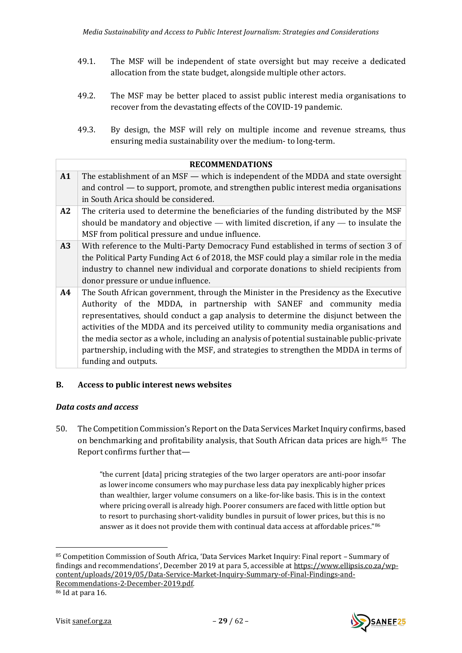- 49.1. The MSF will be independent of state oversight but may receive a dedicated allocation from the state budget, alongside multiple other actors.
- 49.2. The MSF may be better placed to assist public interest media organisations to recover from the devastating effects of the COVID-19 pandemic.
- 49.3. By design, the MSF will rely on multiple income and revenue streams, thus ensuring media sustainability over the medium- to long-term.

|    | <b>RECOMMENDATIONS</b>                                                                                                                                                                                                                                                                                                                                                                                                                                                                                                                                         |
|----|----------------------------------------------------------------------------------------------------------------------------------------------------------------------------------------------------------------------------------------------------------------------------------------------------------------------------------------------------------------------------------------------------------------------------------------------------------------------------------------------------------------------------------------------------------------|
| A1 | The establishment of an MSF — which is independent of the MDDA and state oversight<br>and control — to support, promote, and strengthen public interest media organisations<br>in South Arica should be considered.                                                                                                                                                                                                                                                                                                                                            |
| A2 | The criteria used to determine the beneficiaries of the funding distributed by the MSF<br>should be mandatory and objective $-$ with limited discretion, if any $-$ to insulate the<br>MSF from political pressure and undue influence.                                                                                                                                                                                                                                                                                                                        |
| A3 | With reference to the Multi-Party Democracy Fund established in terms of section 3 of<br>the Political Party Funding Act 6 of 2018, the MSF could play a similar role in the media<br>industry to channel new individual and corporate donations to shield recipients from<br>donor pressure or undue influence.                                                                                                                                                                                                                                               |
| A4 | The South African government, through the Minister in the Presidency as the Executive<br>Authority of the MDDA, in partnership with SANEF and community media<br>representatives, should conduct a gap analysis to determine the disjunct between the<br>activities of the MDDA and its perceived utility to community media organisations and<br>the media sector as a whole, including an analysis of potential sustainable public-private<br>partnership, including with the MSF, and strategies to strengthen the MDDA in terms of<br>funding and outputs. |

## <span id="page-28-0"></span>**B. Access to public interest news websites**

## <span id="page-28-1"></span>*Data costs and access*

50. The Competition Commission's Report on the Data Services Market Inquiry confirms, based on benchmarking and profitability analysis, that South African data prices are high.85 The Report confirms further that—

> "the current [data] pricing strategies of the two larger operators are anti-poor insofar as lower income consumers who may purchase less data pay inexplicably higher prices than wealthier, larger volume consumers on a like-for-like basis. This is in the context where pricing overall is already high. Poorer consumers are faced with little option but to resort to purchasing short-validity bundles in pursuit of lower prices, but this is no answer as it does not provide them with continual data access at affordable prices."86

<sup>86</sup> Id at para 16.



<span id="page-28-2"></span>

<sup>85</sup> Competition Commission of South Africa, 'Data Services Market Inquiry: Final report – Summary of findings and recommendations', December 2019 at para 5, accessible at [https://www.ellipsis.co.za/wp](https://www.ellipsis.co.za/wp-content/uploads/2019/05/Data-Service-Market-Inquiry-Summary-of-Final-Findings-and-Recommendations-2-December-2019.pdf)[content/uploads/2019/05/Data-Service-Market-Inquiry-Summary-of-Final-Findings-and-](https://www.ellipsis.co.za/wp-content/uploads/2019/05/Data-Service-Market-Inquiry-Summary-of-Final-Findings-and-Recommendations-2-December-2019.pdf)[Recommendations-2-December-2019.pdf.](https://www.ellipsis.co.za/wp-content/uploads/2019/05/Data-Service-Market-Inquiry-Summary-of-Final-Findings-and-Recommendations-2-December-2019.pdf)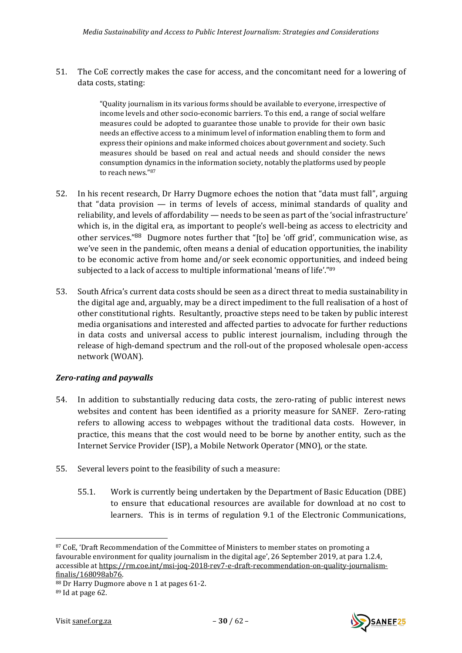51. The CoE correctly makes the case for access, and the concomitant need for a lowering of data costs, stating:

> <span id="page-29-1"></span>"Quality journalism in its various forms should be available to everyone, irrespective of income levels and other socio-economic barriers. To this end, a range of social welfare measures could be adopted to guarantee those unable to provide for their own basic needs an effective access to a minimum level of information enabling them to form and express their opinions and make informed choices about government and society. Such measures should be based on real and actual needs and should consider the news consumption dynamics in the information society, notably the platforms used by people to reach news." 87

- 52. In his recent research, Dr Harry Dugmore echoes the notion that "data must fall", arguing that "data provision — in terms of levels of access, minimal standards of quality and reliability, and levels of affordability — needs to be seen as part of the 'social infrastructure' which is, in the digital era, as important to people's well-being as access to electricity and other services."<sup>88</sup> Dugmore notes further that "[to] be 'off grid', communication wise, as we've seen in the pandemic, often means a denial of education opportunities, the inability to be economic active from home and/or seek economic opportunities, and indeed being subjected to a lack of access to multiple informational 'means of life'."<sup>89</sup>
- 53. South Africa's current data costs should be seen as a direct threat to media sustainability in the digital age and, arguably, may be a direct impediment to the full realisation of a host of other constitutional rights. Resultantly, proactive steps need to be taken by public interest media organisations and interested and affected parties to advocate for further reductions in data costs and universal access to public interest journalism, including through the release of high-demand spectrum and the roll-out of the proposed wholesale open-access network (WOAN).

## <span id="page-29-0"></span>*Zero-rating and paywalls*

- 54. In addition to substantially reducing data costs, the zero-rating of public interest news websites and content has been identified as a priority measure for SANEF. Zero-rating refers to allowing access to webpages without the traditional data costs. However, in practice, this means that the cost would need to be borne by another entity, such as the Internet Service Provider (ISP), a Mobile Network Operator (MNO), or the state.
- 55. Several levers point to the feasibility of such a measure:
	- 55.1. Work is currently being undertaken by the Department of Basic Education (DBE) to ensure that educational resources are available for download at no cost to learners. This is in terms of regulation 9.1 of the Electronic Communications,

<sup>88</sup> Dr Harry Dugmore above n [1](#page-1-2) at pages 61-2.  $89$  Id at page 62.





<sup>87</sup> CoE, 'Draft Recommendation of the Committee of Ministers to member states on promoting a favourable environment for quality journalism in the digital age', 26 September 2019, at para 1.2.4, accessible a[t https://rm.coe.int/msi-joq-2018-rev7-e-draft-recommendation-on-quality-journalism](https://rm.coe.int/msi-joq-2018-rev7-e-draft-recommendation-on-quality-journalism-finalis/168098ab76)[finalis/168098ab76.](https://rm.coe.int/msi-joq-2018-rev7-e-draft-recommendation-on-quality-journalism-finalis/168098ab76)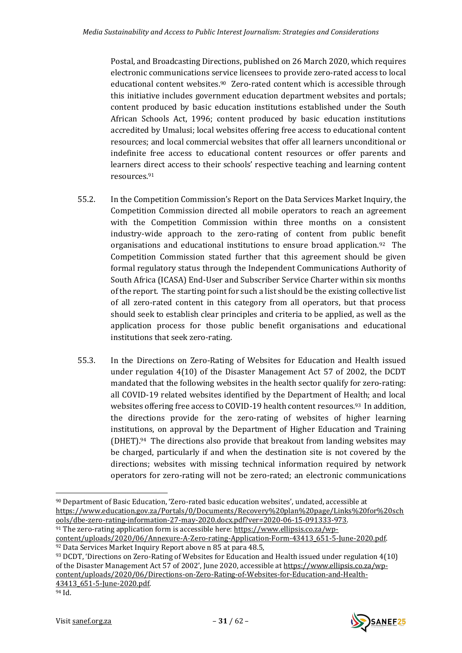Postal, and Broadcasting Directions, published on 26 March 2020, which requires electronic communications service licensees to provide zero-rated access to local educational content websites.90 Zero-rated content which is accessible through this initiative includes government education department websites and portals; content produced by basic education institutions established under the South African Schools Act, 1996; content produced by basic education institutions accredited by Umalusi; local websites offering free access to educational content resources; and local commercial websites that offer all learners unconditional or indefinite free access to educational content resources or offer parents and learners direct access to their schools' respective teaching and learning content resources.<sup>91</sup>

- 55.2. In the Competition Commission's Report on the Data Services Market Inquiry, the Competition Commission directed all mobile operators to reach an agreement with the Competition Commission within three months on a consistent industry-wide approach to the zero-rating of content from public benefit organisations and educational institutions to ensure broad application.92 The Competition Commission stated further that this agreement should be given formal regulatory status through the Independent Communications Authority of South Africa (ICASA) End-User and Subscriber Service Charter within six months of the report. The starting point for such a list should be the existing collective list of all zero-rated content in this category from all operators, but that process should seek to establish clear principles and criteria to be applied, as well as the application process for those public benefit organisations and educational institutions that seek zero-rating.
- 55.3. In the Directions on Zero-Rating of Websites for Education and Health issued under regulation 4(10) of the Disaster Management Act 57 of 2002, the DCDT mandated that the following websites in the health sector qualify for zero-rating: all COVID-19 related websites identified by the Department of Health; and local websites offering free access to COVID-19 health content resources.<sup>93</sup> In addition, the directions provide for the zero-rating of websites of higher learning institutions, on approval by the Department of Higher Education and Training  $(DHET).94$  The directions also provide that breakout from landing websites may be charged, particularly if and when the destination site is not covered by the directions; websites with missing technical information required by network operators for zero-rating will not be zero-rated; an electronic communications



<sup>90</sup> Department of Basic Education, 'Zero-rated basic education websites', undated, accessible at [https://www.education.gov.za/Portals/0/Documents/Recovery%20plan%20page/Links%20for%20sch](https://www.education.gov.za/Portals/0/Documents/Recovery%20plan%20page/Links%20for%20schools/dbe-zero-rating-information-27-may-2020.docx.pdf?ver=2020-06-15-091333-973) [ools/dbe-zero-rating-information-27-may-2020.docx.pdf?ver=2020-06-15-091333-973.](https://www.education.gov.za/Portals/0/Documents/Recovery%20plan%20page/Links%20for%20schools/dbe-zero-rating-information-27-may-2020.docx.pdf?ver=2020-06-15-091333-973)

<sup>91</sup> The zero-rating application form is accessible here: [https://www.ellipsis.co.za/wp](https://www.ellipsis.co.za/wp-content/uploads/2020/06/Annexure-A-Zero-rating-Application-Form-43413_651-5-June-2020.pdf)[content/uploads/2020/06/Annexure-A-Zero-rating-Application-Form-43413\\_651-5-June-2020.pdf.](https://www.ellipsis.co.za/wp-content/uploads/2020/06/Annexure-A-Zero-rating-Application-Form-43413_651-5-June-2020.pdf)  <sup>92</sup> Data Services Market Inquiry Report above n [85](#page-28-2) at para 48.5,

<sup>93</sup> DCDT, 'Directions on Zero-Rating of Websites for Education and Health issued under regulation 4(10) of the Disaster Management Act 57 of 2002', June 2020, accessible at [https://www.ellipsis.co.za/wp](https://www.ellipsis.co.za/wp-content/uploads/2020/06/Directions-on-Zero-Rating-of-Websites-for-Education-and-Health-43413_651-5-June-2020.pdf)[content/uploads/2020/06/Directions-on-Zero-Rating-of-Websites-for-Education-and-Health-](https://www.ellipsis.co.za/wp-content/uploads/2020/06/Directions-on-Zero-Rating-of-Websites-for-Education-and-Health-43413_651-5-June-2020.pdf)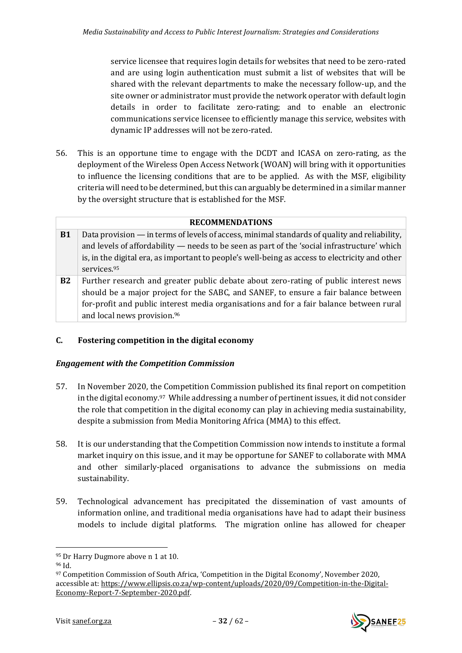service licensee that requires login details for websites that need to be zero-rated and are using login authentication must submit a list of websites that will be shared with the relevant departments to make the necessary follow-up, and the site owner or administrator must provide the network operator with default login details in order to facilitate zero-rating; and to enable an electronic communications service licensee to efficiently manage this service, websites with dynamic IP addresses will not be zero-rated.

56. This is an opportune time to engage with the DCDT and ICASA on zero-rating, as the deployment of the Wireless Open Access Network (WOAN) will bring with it opportunities to influence the licensing conditions that are to be applied. As with the MSF, eligibility criteria will need to be determined, but this can arguably be determined in a similar manner by the oversight structure that is established for the MSF.

|           | <b>RECOMMENDATIONS</b>                                                                         |
|-----------|------------------------------------------------------------------------------------------------|
| <b>B1</b> | Data provision - in terms of levels of access, minimal standards of quality and reliability,   |
|           | and levels of affordability - needs to be seen as part of the 'social infrastructure' which    |
|           | is, in the digital era, as important to people's well-being as access to electricity and other |
|           | services.95                                                                                    |
| <b>B2</b> | Further research and greater public debate about zero-rating of public interest news           |
|           | should be a major project for the SABC, and SANEF, to ensure a fair balance between            |
|           | for-profit and public interest media organisations and for a fair balance between rural        |
|           | and local news provision. <sup>96</sup>                                                        |

# <span id="page-31-0"></span>**C. Fostering competition in the digital economy**

## <span id="page-31-1"></span>*Engagement with the Competition Commission*

- 57. In November 2020, the Competition Commission published its final report on competition in the digital economy.97 While addressing a number of pertinent issues, it did not consider the role that competition in the digital economy can play in achieving media sustainability, despite a submission from Media Monitoring Africa (MMA) to this effect.
- 58. It is our understanding that the Competition Commission now intends to institute a formal market inquiry on this issue, and it may be opportune for SANEF to collaborate with MMA and other similarly-placed organisations to advance the submissions on media sustainability.
- 59. Technological advancement has precipitated the dissemination of vast amounts of information online, and traditional media organisations have had to adapt their business models to include digital platforms. The migration online has allowed for cheaper



<sup>95</sup> Dr Harry Dugmore above n [1](#page-1-2) at 10.

<sup>96</sup> Id.

<sup>97</sup> Competition Commission of South Africa, 'Competition in the Digital Economy', November 2020, accessible at[: https://www.ellipsis.co.za/wp-content/uploads/2020/09/Competition-in-the-Digital-](https://www.ellipsis.co.za/wp-content/uploads/2020/09/Competition-in-the-Digital-Economy-Report-7-September-2020.pdf)[Economy-Report-7-September-2020.pdf.](https://www.ellipsis.co.za/wp-content/uploads/2020/09/Competition-in-the-Digital-Economy-Report-7-September-2020.pdf)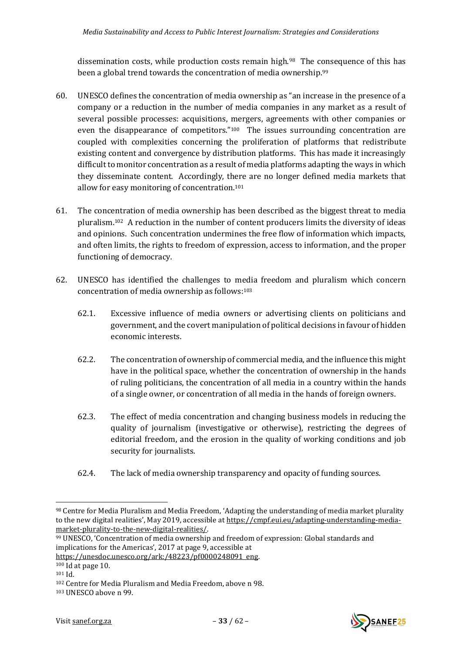<span id="page-32-1"></span><span id="page-32-0"></span>dissemination costs, while production costs remain high.98 The consequence of this has been a global trend towards the concentration of media ownership.<sup>99</sup>

- 60. UNESCO defines the concentration of media ownership as "an increase in the presence of a company or a reduction in the number of media companies in any market as a result of several possible processes: acquisitions, mergers, agreements with other companies or even the disappearance of competitors."100 The issues surrounding concentration are coupled with complexities concerning the proliferation of platforms that redistribute existing content and convergence by distribution platforms. This has made it increasingly difficult to monitor concentration as a result of media platforms adapting the ways in which they disseminate content. Accordingly, there are no longer defined media markets that allow for easy monitoring of concentration.<sup>101</sup>
- 61. The concentration of media ownership has been described as the biggest threat to media pluralism.102 A reduction in the number of content producers limits the diversity of ideas and opinions. Such concentration undermines the free flow of information which impacts, and often limits, the rights to freedom of expression, access to information, and the proper functioning of democracy.
- 62. UNESCO has identified the challenges to media freedom and pluralism which concern concentration of media ownership as follows:<sup>103</sup>
	- 62.1. Excessive influence of media owners or advertising clients on politicians and government, and the covert manipulation of political decisions in favour of hidden economic interests.
	- 62.2. The concentration of ownership of commercial media, and the influence this might have in the political space, whether the concentration of ownership in the hands of ruling politicians, the concentration of all media in a country within the hands of a single owner, or concentration of all media in the hands of foreign owners.
	- 62.3. The effect of media concentration and changing business models in reducing the quality of journalism (investigative or otherwise), restricting the degrees of editorial freedom, and the erosion in the quality of working conditions and job security for journalists.
	- 62.4. The lack of media ownership transparency and opacity of funding sources.

<sup>103</sup> UNESCO above n [99.](#page-32-1)





<sup>98</sup> Centre for Media Pluralism and Media Freedom, 'Adapting the understanding of media market plurality to the new digital realities', May 2019, accessible at [https://cmpf.eui.eu/adapting-understanding-media](https://cmpf.eui.eu/adapting-understanding-media-market-plurality-to-the-new-digital-realities/)[market-plurality-to-the-new-digital-realities/.](https://cmpf.eui.eu/adapting-understanding-media-market-plurality-to-the-new-digital-realities/)

<sup>99</sup> UNESCO, 'Concentration of media ownership and freedom of expression: Global standards and implications for the Americas', 2017 at page 9, accessible at

[https://unesdoc.unesco.org/ark:/48223/pf0000248091\\_eng.](https://unesdoc.unesco.org/ark:/48223/pf0000248091_eng)

<sup>100</sup> Id at page 10.

<sup>101</sup> Id.

<sup>102</sup> Centre for Media Pluralism and Media Freedom, above n [98.](#page-32-0)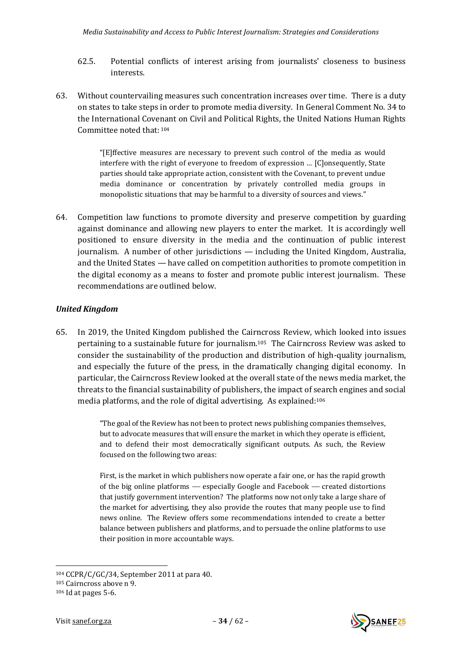- 62.5. Potential conflicts of interest arising from journalists' closeness to business interests.
- 63. Without countervailing measures such concentration increases over time. There is a duty on states to take steps in order to promote media diversity. In General Comment No. 34 to the International Covenant on Civil and Political Rights, the United Nations Human Rights Committee noted that: <sup>104</sup>

"[E]ffective measures are necessary to prevent such control of the media as would interfere with the right of everyone to freedom of expression … [C]onsequently, State parties should take appropriate action, consistent with the Covenant, to prevent undue media dominance or concentration by privately controlled media groups in monopolistic situations that may be harmful to a diversity of sources and views."

64. Competition law functions to promote diversity and preserve competition by guarding against dominance and allowing new players to enter the market. It is accordingly well positioned to ensure diversity in the media and the continuation of public interest journalism. A number of other jurisdictions — including the United Kingdom, Australia, and the United States — have called on competition authorities to promote competition in the digital economy as a means to foster and promote public interest journalism. These recommendations are outlined below.

## <span id="page-33-0"></span>*United Kingdom*

65. In 2019, the United Kingdom published the Cairncross Review, which looked into issues pertaining to a sustainable future for journalism.105 The Cairncross Review was asked to consider the sustainability of the production and distribution of high-quality journalism, and especially the future of the press, in the dramatically changing digital economy. In particular, the Cairncross Review looked at the overall state of the news media market, the threats to the financial sustainability of publishers, the impact of search engines and social media platforms, and the role of digital advertising. As explained:<sup>106</sup>

> "The goal of the Review has not been to protect news publishing companies themselves, but to advocate measures that will ensure the market in which they operate is efficient, and to defend their most democratically significant outputs. As such, the Review focused on the following two areas:

> First, is the market in which publishers now operate a fair one, or has the rapid growth of the big online platforms — especially Google and Facebook — created distortions that justify government intervention? The platforms now not only take a large share of the market for advertising, they also provide the routes that many people use to find news online. The Review offers some recommendations intended to create a better balance between publishers and platforms, and to persuade the online platforms to use their position in more accountable ways.



<sup>104</sup> CCPR/C/GC/34, September 2011 at para 40.

<sup>105</sup> Cairncross above n [9.](#page-8-1)

<sup>106</sup> Id at pages 5-6.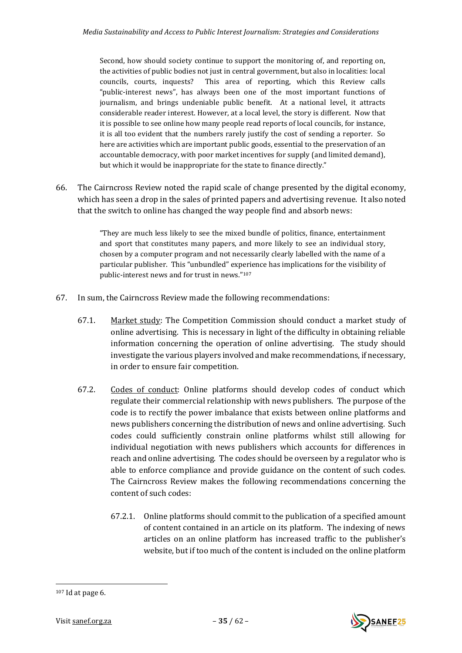Second, how should society continue to support the monitoring of, and reporting on, the activities of public bodies not just in central government, but also in localities: local councils, courts, inquests? This area of reporting, which this Review calls "public-interest news", has always been one of the most important functions of journalism, and brings undeniable public benefit. At a national level, it attracts considerable reader interest. However, at a local level, the story is different. Now that it is possible to see online how many people read reports of local councils, for instance, it is all too evident that the numbers rarely justify the cost of sending a reporter. So here are activities which are important public goods, essential to the preservation of an accountable democracy, with poor market incentives for supply (and limited demand), but which it would be inappropriate for the state to finance directly."

66. The Cairncross Review noted the rapid scale of change presented by the digital economy, which has seen a drop in the sales of printed papers and advertising revenue. It also noted that the switch to online has changed the way people find and absorb news:

> "They are much less likely to see the mixed bundle of politics, finance, entertainment and sport that constitutes many papers, and more likely to see an individual story, chosen by a computer program and not necessarily clearly labelled with the name of a particular publisher. This "unbundled" experience has implications for the visibility of public-interest news and for trust in news."<sup>107</sup>

- 67. In sum, the Cairncross Review made the following recommendations:
	- 67.1. Market study: The Competition Commission should conduct a market study of online advertising. This is necessary in light of the difficulty in obtaining reliable information concerning the operation of online advertising. The study should investigate the various players involved and make recommendations, if necessary, in order to ensure fair competition.
	- 67.2. Codes of conduct: Online platforms should develop codes of conduct which regulate their commercial relationship with news publishers. The purpose of the code is to rectify the power imbalance that exists between online platforms and news publishers concerning the distribution of news and online advertising. Such codes could sufficiently constrain online platforms whilst still allowing for individual negotiation with news publishers which accounts for differences in reach and online advertising. The codes should be overseen by a regulator who is able to enforce compliance and provide guidance on the content of such codes. The Cairncross Review makes the following recommendations concerning the content of such codes:
		- 67.2.1. Online platforms should commit to the publication of a specified amount of content contained in an article on its platform. The indexing of news articles on an online platform has increased traffic to the publisher's website, but if too much of the content is included on the online platform



<sup>107</sup> Id at page 6.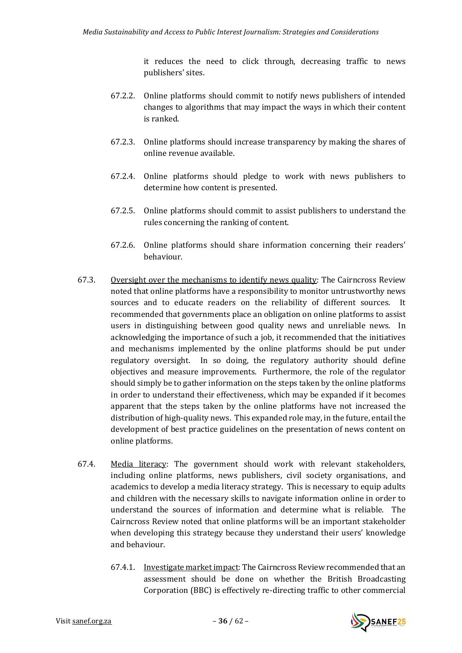it reduces the need to click through, decreasing traffic to news publishers' sites.

- 67.2.2. Online platforms should commit to notify news publishers of intended changes to algorithms that may impact the ways in which their content is ranked.
- 67.2.3. Online platforms should increase transparency by making the shares of online revenue available.
- 67.2.4. Online platforms should pledge to work with news publishers to determine how content is presented.
- 67.2.5. Online platforms should commit to assist publishers to understand the rules concerning the ranking of content.
- 67.2.6. Online platforms should share information concerning their readers' behaviour.
- 67.3. Oversight over the mechanisms to identify news quality: The Cairncross Review noted that online platforms have a responsibility to monitor untrustworthy news sources and to educate readers on the reliability of different sources. It recommended that governments place an obligation on online platforms to assist users in distinguishing between good quality news and unreliable news. In acknowledging the importance of such a job, it recommended that the initiatives and mechanisms implemented by the online platforms should be put under regulatory oversight. In so doing, the regulatory authority should define objectives and measure improvements. Furthermore, the role of the regulator should simply be to gather information on the steps taken by the online platforms in order to understand their effectiveness, which may be expanded if it becomes apparent that the steps taken by the online platforms have not increased the distribution of high-quality news. This expanded role may, in the future, entail the development of best practice guidelines on the presentation of news content on online platforms.
- 67.4. Media literacy: The government should work with relevant stakeholders, including online platforms, news publishers, civil society organisations, and academics to develop a media literacy strategy. This is necessary to equip adults and children with the necessary skills to navigate information online in order to understand the sources of information and determine what is reliable. The Cairncross Review noted that online platforms will be an important stakeholder when developing this strategy because they understand their users' knowledge and behaviour.
	- 67.4.1. Investigate market impact: The Cairncross Review recommended that an assessment should be done on whether the British Broadcasting Corporation (BBC) is effectively re-directing traffic to other commercial

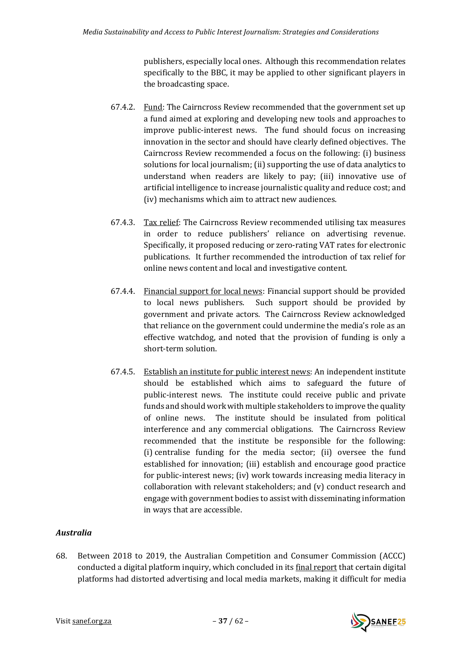publishers, especially local ones. Although this recommendation relates specifically to the BBC, it may be applied to other significant players in the broadcasting space.

- 67.4.2. Fund: The Cairncross Review recommended that the government set up a fund aimed at exploring and developing new tools and approaches to improve public-interest news. The fund should focus on increasing innovation in the sector and should have clearly defined objectives. The Cairncross Review recommended a focus on the following: (i) business solutions for local journalism; (ii) supporting the use of data analytics to understand when readers are likely to pay; (iii) innovative use of artificial intelligence to increase journalistic quality and reduce cost; and (iv) mechanisms which aim to attract new audiences.
- 67.4.3. Tax relief: The Cairncross Review recommended utilising tax measures in order to reduce publishers' reliance on advertising revenue. Specifically, it proposed reducing or zero-rating VAT rates for electronic publications. It further recommended the introduction of tax relief for online news content and local and investigative content.
- 67.4.4. Financial support for local news: Financial support should be provided to local news publishers. Such support should be provided by government and private actors. The Cairncross Review acknowledged that reliance on the government could undermine the media's role as an effective watchdog, and noted that the provision of funding is only a short-term solution.
- 67.4.5. Establish an institute for public interest news: An independent institute should be established which aims to safeguard the future of public-interest news. The institute could receive public and private funds and should work with multiple stakeholders to improve the quality of online news. The institute should be insulated from political interference and any commercial obligations. The Cairncross Review recommended that the institute be responsible for the following: (i) centralise funding for the media sector; (ii) oversee the fund established for innovation; (iii) establish and encourage good practice for public-interest news; (iv) work towards increasing media literacy in collaboration with relevant stakeholders; and (v) conduct research and engage with government bodies to assist with disseminating information in ways that are accessible.

# <span id="page-36-0"></span>*Australia*

68. Between 2018 to 2019, the Australian Competition and Consumer Commission (ACCC) conducted a digital platform inquiry, which concluded in its [final report](https://www.accc.gov.au/publications/digital-platforms-inquiry-final-report) that certain digital platforms had distorted advertising and local media markets, making it difficult for media

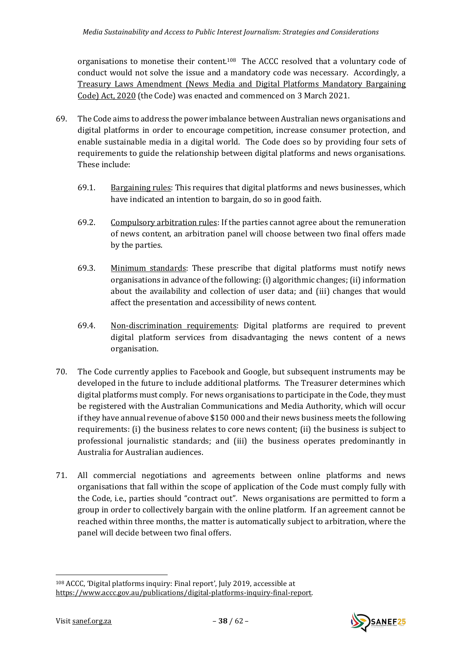organisations to monetise their content.<sup>108</sup> The ACCC resolved that a voluntary code of conduct would not solve the issue and a mandatory code was necessary. Accordingly, a [Treasury Laws Amendment \(News Media and Digital Platforms Mandatory Bargaining](https://www.accc.gov.au/system/files/Exposure%20Draft%20Bill%20-%20TREASURY%20LAWS%20AMENDENT%20%28NEWS%20MEDIA%20AND%20DIGITAL%20PLATFORMS%20MANDATORY%20BARGAINING%20CODE%29%20BILL%202020.pdf)  [Code\) Act, 2020](https://www.accc.gov.au/system/files/Exposure%20Draft%20Bill%20-%20TREASURY%20LAWS%20AMENDENT%20%28NEWS%20MEDIA%20AND%20DIGITAL%20PLATFORMS%20MANDATORY%20BARGAINING%20CODE%29%20BILL%202020.pdf) (the Code) was enacted and commenced on 3 March 2021.

- 69. The Code aims to address the power imbalance between Australian news organisations and digital platforms in order to encourage competition, increase consumer protection, and enable sustainable media in a digital world. The Code does so by providing four sets of requirements to guide the relationship between digital platforms and news organisations. These include:
	- 69.1. Bargaining rules: This requires that digital platforms and news businesses, which have indicated an intention to bargain, do so in good faith.
	- 69.2. Compulsory arbitration rules: If the parties cannot agree about the remuneration of news content, an arbitration panel will choose between two final offers made by the parties.
	- 69.3. Minimum standards: These prescribe that digital platforms must notify news organisations in advance of the following: (i) algorithmic changes; (ii) information about the availability and collection of user data; and (iii) changes that would affect the presentation and accessibility of news content.
	- 69.4. Non-discrimination requirements: Digital platforms are required to prevent digital platform services from disadvantaging the news content of a news organisation.
- 70. The Code currently applies to Facebook and Google, but subsequent instruments may be developed in the future to include additional platforms. The Treasurer determines which digital platforms must comply. For news organisations to participate in the Code, they must be registered with the Australian Communications and Media Authority, which will occur if they have annual revenue of above \$150 000 and their news business meets the following requirements: (i) the business relates to core news content; (ii) the business is subject to professional journalistic standards; and (iii) the business operates predominantly in Australia for Australian audiences.
- 71. All commercial negotiations and agreements between online platforms and news organisations that fall within the scope of application of the Code must comply fully with the Code, i.e., parties should "contract out". News organisations are permitted to form a group in order to collectively bargain with the online platform. If an agreement cannot be reached within three months, the matter is automatically subject to arbitration, where the panel will decide between two final offers.

<sup>108</sup> ACCC, 'Digital platforms inquiry: Final report', July 2019, accessible at [https://www.accc.gov.au/publications/digital-platforms-inquiry-final-report.](https://www.accc.gov.au/publications/digital-platforms-inquiry-final-report)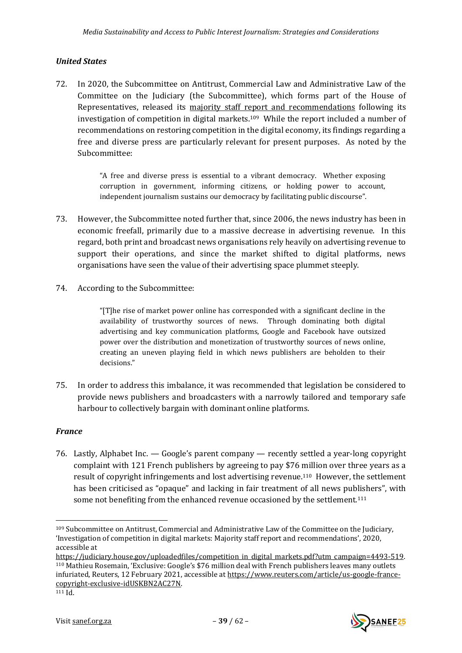## <span id="page-38-0"></span>*United States*

72. In 2020, the Subcommittee on Antitrust, Commercial Law and Administrative Law of the Committee on the Judiciary (the Subcommittee), which forms part of the House of Representatives, released its majority staff report [and recommendations](https://lnkd.in/de7y7fq) following its investigation of competition in digital markets.109 While the report included a number of recommendations on restoring competition in the digital economy, its findings regarding a free and diverse press are particularly relevant for present purposes. As noted by the Subcommittee:

> "A free and diverse press is essential to a vibrant democracy. Whether exposing corruption in government, informing citizens, or holding power to account, independent journalism sustains our democracy by facilitating public discourse".

- 73. However, the Subcommittee noted further that, since 2006, the news industry has been in economic freefall, primarily due to a massive decrease in advertising revenue. In this regard, both print and broadcast news organisations rely heavily on advertising revenue to support their operations, and since the market shifted to digital platforms, news organisations have seen the value of their advertising space plummet steeply.
- 74. According to the Subcommittee:

"[T]he rise of market power online has corresponded with a significant decline in the availability of trustworthy sources of news. Through dominating both digital advertising and key communication platforms, Google and Facebook have outsized power over the distribution and monetization of trustworthy sources of news online, creating an uneven playing field in which news publishers are beholden to their decisions."

75. In order to address this imbalance, it was recommended that legislation be considered to provide news publishers and broadcasters with a narrowly tailored and temporary safe harbour to collectively bargain with dominant online platforms.

# <span id="page-38-1"></span>*France*

76. Lastly, Alphabet Inc. — Google's parent company — recently settled a year-long copyright complaint with 121 French publishers by agreeing to pay \$76 million over three years as a result of copyright infringements and lost advertising revenue.<sup>110</sup> However, the settlement has been criticised as "opaque" and lacking in fair treatment of all news publishers", with some not benefiting from the enhanced revenue occasioned by the settlement.<sup>111</sup>



<sup>109</sup> Subcommittee on Antitrust, Commercial and Administrative Law of the Committee on the Judiciary, 'Investigation of competition in digital markets: Majority staff report and recommendations', 2020, accessible at

https://judiciary.house.gov/uploadedfiles/competition in digital markets.pdf?utm\_campaign=4493-519. <sup>110</sup> Mathieu Rosemain, 'Exclusive: Google's \$76 million deal with French publishers leaves many outlets infuriated, Reuters, 12 February 2021, accessible a[t https://www.reuters.com/article/us-google-france](https://www.reuters.com/article/us-google-france-copyright-exclusive-idUSKBN2AC27N)[copyright-exclusive-idUSKBN2AC27N.](https://www.reuters.com/article/us-google-france-copyright-exclusive-idUSKBN2AC27N)

 $111$  Id.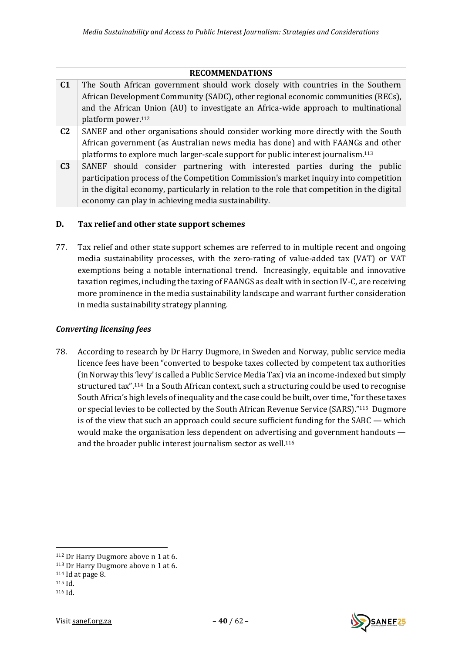|                | <b>RECOMMENDATIONS</b>                                                                        |
|----------------|-----------------------------------------------------------------------------------------------|
| C <sub>1</sub> | The South African government should work closely with countries in the Southern               |
|                | African Development Community (SADC), other regional economic communities (RECs),             |
|                | and the African Union (AU) to investigate an Africa-wide approach to multinational            |
|                | platform power. <sup>112</sup>                                                                |
| C <sub>2</sub> | SANEF and other organisations should consider working more directly with the South            |
|                | African government (as Australian news media has done) and with FAANGs and other              |
|                | platforms to explore much larger-scale support for public interest journalism. <sup>113</sup> |
| C <sub>3</sub> | SANEF should consider partnering with interested parties during the public                    |
|                | participation process of the Competition Commission's market inquiry into competition         |
|                | in the digital economy, particularly in relation to the role that competition in the digital  |
|                | economy can play in achieving media sustainability.                                           |

# <span id="page-39-0"></span>**D. Tax relief and other state support schemes**

77. Tax relief and other state support schemes are referred to in multiple recent and ongoing media sustainability processes, with the zero-rating of value-added tax (VAT) or VAT exemptions being a notable international trend. Increasingly, equitable and innovative taxation regimes, including the taxing of FAANGS as dealt with in section IV-C, are receiving more prominence in the media sustainability landscape and warrant further consideration in media sustainability strategy planning.

# <span id="page-39-1"></span>*Converting licensing fees*

78. According to research by Dr Harry Dugmore, in Sweden and Norway, public service media licence fees have been "converted to bespoke taxes collected by competent tax authorities (in Norway this 'levy' is called a Public Service Media Tax) via an income-indexed but simply structured tax".<sup>114</sup> In a South African context, such a structuring could be used to recognise South Africa's high levels of inequality and the case could be built, over time, "for these taxes or special levies to be collected by the South African Revenue Service (SARS)."115 Dugmore is of the view that such an approach could secure sufficient funding for the SABC — which would make the organisation less dependent on advertising and government handouts and the broader public interest journalism sector as well.<sup>116</sup>



<sup>112</sup> Dr Harry Dugmore above [n 1](#page-1-2) at 6.

<sup>113</sup> Dr Harry Dugmore above [n 1](#page-1-2) at 6.

<sup>114</sup> Id at page 8.

<sup>115</sup> Id.

<sup>116</sup> Id.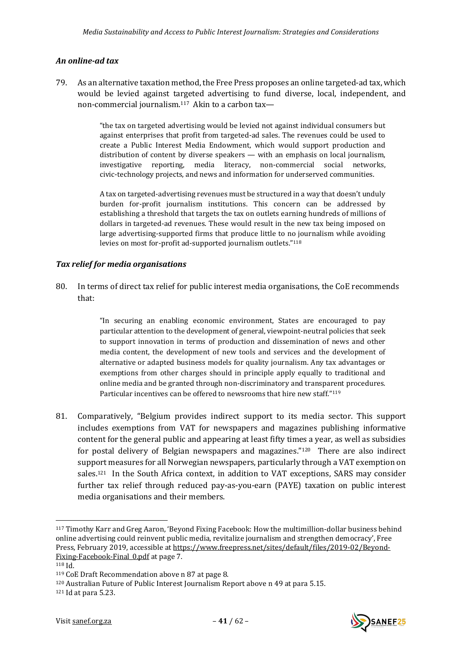## <span id="page-40-0"></span>*An online-ad tax*

79. As an alternative taxation method, the Free Press proposes an online targeted-ad tax, which would be levied against targeted advertising to fund diverse, local, independent, and non-commercial journalism.117 Akin to a carbon tax—

> "the tax on targeted advertising would be levied not against individual consumers but against enterprises that profit from targeted-ad sales. The revenues could be used to create a Public Interest Media Endowment, which would support production and distribution of content by diverse speakers — with an emphasis on local journalism, investigative reporting, media literacy, non-commercial social networks, civic-technology projects, and news and information for underserved communities.

> A tax on targeted-advertising revenues must be structured in a way that doesn't unduly burden for-profit journalism institutions. This concern can be addressed by establishing a threshold that targets the tax on outlets earning hundreds of millions of dollars in targeted-ad revenues. These would result in the new tax being imposed on large advertising-supported firms that produce little to no journalism while avoiding levies on most for-profit ad-supported journalism outlets."<sup>118</sup>

## <span id="page-40-1"></span>*Tax relief for media organisations*

80. In terms of direct tax relief for public interest media organisations, the CoE recommends that:

> "In securing an enabling economic environment, States are encouraged to pay particular attention to the development of general, viewpoint-neutral policies that seek to support innovation in terms of production and dissemination of news and other media content, the development of new tools and services and the development of alternative or adapted business models for quality journalism. Any tax advantages or exemptions from other charges should in principle apply equally to traditional and online media and be granted through non-discriminatory and transparent procedures. Particular incentives can be offered to newsrooms that hire new staff."<sup>119</sup>

81. Comparatively, "Belgium provides indirect support to its media sector. This support includes exemptions from VAT for newspapers and magazines publishing informative content for the general public and appearing at least fifty times a year, as well as subsidies for postal delivery of Belgian newspapers and magazines." <sup>120</sup> There are also indirect support measures for all Norwegian newspapers, particularly through a VAT exemption on sales.<sup>121</sup> In the South Africa context, in addition to VAT exceptions, SARS may consider further tax relief through reduced pay-as-you-earn (PAYE) taxation on public interest media organisations and their members.

<sup>121</sup> Id at para 5.23.





<sup>117</sup> Timothy Karr and Greg Aaron, 'Beyond Fixing Facebook: How the multimillion-dollar business behind online advertising could reinvent public media, revitalize journalism and strengthen democracy', Free Press, February 2019, accessible a[t https://www.freepress.net/sites/default/files/2019-02/Beyond-](https://www.freepress.net/sites/default/files/2019-02/Beyond-Fixing-Facebook-Final_0.pdf)[Fixing-Facebook-Final\\_0.pdf](https://www.freepress.net/sites/default/files/2019-02/Beyond-Fixing-Facebook-Final_0.pdf) at page 7.

<sup>118</sup> Id.

<sup>119</sup> CoE Draft Recommendation above n [87](#page-29-1) at page 8.

<sup>120</sup> Australian Future of Public Interest Journalism Report above n [49](#page-17-2) at para 5.15.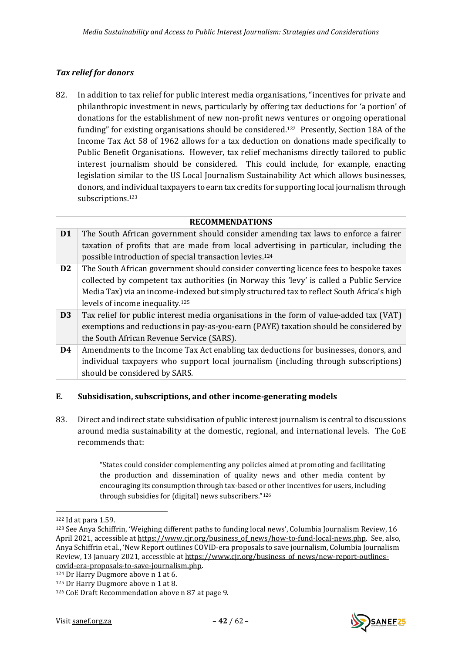## <span id="page-41-0"></span>*Tax relief for donors*

82. In addition to tax relief for public interest media organisations, "incentives for private and philanthropic investment in news, particularly by offering tax deductions for 'a portion' of donations for the establishment of new non-profit news ventures or ongoing operational funding" for existing organisations should be considered.122 Presently, Section 18A of the Income Tax Act 58 of 1962 allows for a tax deduction on donations made specifically to Public Benefit Organisations. However, tax relief mechanisms directly tailored to public interest journalism should be considered. This could include, for example, enacting legislation similar to the US Local Journalism Sustainability Act which allows businesses, donors, and individual taxpayers to earn tax credits for supporting local journalism through subscriptions.<sup>123</sup>

<span id="page-41-2"></span>

|                | <b>RECOMMENDATIONS</b>                                                                                                                                                                                                                                                                                                        |
|----------------|-------------------------------------------------------------------------------------------------------------------------------------------------------------------------------------------------------------------------------------------------------------------------------------------------------------------------------|
| D <sub>1</sub> | The South African government should consider amending tax laws to enforce a fairer<br>taxation of profits that are made from local advertising in particular, including the<br>possible introduction of special transaction levies. <sup>124</sup>                                                                            |
| D <sub>2</sub> | The South African government should consider converting licence fees to bespoke taxes<br>collected by competent tax authorities (in Norway this 'levy' is called a Public Service<br>Media Tax) via an income-indexed but simply structured tax to reflect South Africa's high<br>levels of income inequality. <sup>125</sup> |
| D <sub>3</sub> | Tax relief for public interest media organisations in the form of value-added tax (VAT)<br>exemptions and reductions in pay-as-you-earn (PAYE) taxation should be considered by<br>the South African Revenue Service (SARS).                                                                                                  |
| D <sub>4</sub> | Amendments to the Income Tax Act enabling tax deductions for businesses, donors, and<br>individual taxpayers who support local journalism (including through subscriptions)<br>should be considered by SARS.                                                                                                                  |

## <span id="page-41-1"></span>**E. Subsidisation, subscriptions, and other income-generating models**

83. Direct and indirect state subsidisation of public interest journalism is central to discussions around media sustainability at the domestic, regional, and international levels. The CoE recommends that:

> "States could consider complementing any policies aimed at promoting and facilitating the production and dissemination of quality news and other media content by encouraging its consumption through tax-based or other incentives for users, including through subsidies for (digital) news subscribers."<sup>126</sup>



<sup>122</sup> Id at para 1.59.

<sup>123</sup> See Anya Schiffrin, 'Weighing different paths to funding local news', Columbia Journalism Review, 16 April 2021, accessible a[t https://www.cjr.org/business\\_of\\_news/how-to-fund-local-news.php.](https://www.cjr.org/business_of_news/how-to-fund-local-news.php) See, also, Anya Schiffrin et al., 'New Report outlines COVID-era proposals to save journalism, Columbia Journalism Review, 13 January 2021, accessible a[t https://www.cjr.org/business\\_of\\_news/new-report-outlines](https://www.cjr.org/business_of_news/new-report-outlines-covid-era-proposals-to-save-journalism.php)[covid-era-proposals-to-save-journalism.php.](https://www.cjr.org/business_of_news/new-report-outlines-covid-era-proposals-to-save-journalism.php) 

<sup>124</sup> Dr Harry Dugmore above [n 1](#page-1-2) at 6.

<sup>125</sup> Dr Harry Dugmore above [n 1](#page-1-2) at 8.

<sup>126</sup> CoE Draft Recommendation above n [87](#page-29-1) at page 9.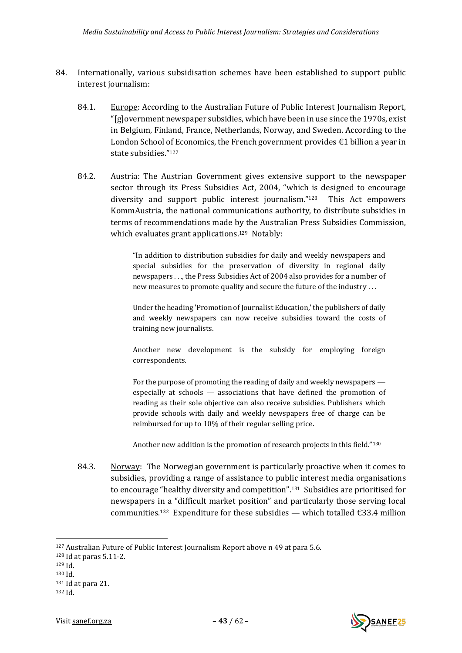- 84. Internationally, various subsidisation schemes have been established to support public interest journalism:
	- 84.1. Europe: According to the Australian Future of Public Interest Journalism Report, "[g]overnment newspaper subsidies, which have been in use since the 1970s, exist in Belgium, Finland, France, Netherlands, Norway, and Sweden. According to the London School of Economics, the French government provides  $\epsilon$ 1 billion a year in state subsidies."<sup>127</sup>
	- 84.2. Austria: The Austrian Government gives extensive support to the newspaper sector through its Press Subsidies Act, 2004, "which is designed to encourage diversity and support public interest journalism."<sup>128</sup> This Act empowers KommAustria, the national communications authority, to distribute subsidies in terms of recommendations made by the Australian Press Subsidies Commission, which evaluates grant applications.<sup>129</sup> Notably:

"In addition to distribution subsidies for daily and weekly newspapers and special subsidies for the preservation of diversity in regional daily newspapers . . ., the Press Subsidies Act of 2004 also provides for a number of new measures to promote quality and secure the future of the industry . . .

Under the heading 'Promotion of Journalist Education,' the publishers of daily and weekly newspapers can now receive subsidies toward the costs of training new journalists.

Another new development is the subsidy for employing foreign correspondents.

For the purpose of promoting the reading of daily and weekly newspapers especially at schools — associations that have defined the promotion of reading as their sole objective can also receive subsidies. Publishers which provide schools with daily and weekly newspapers free of charge can be reimbursed for up to 10% of their regular selling price.

Another new addition is the promotion of research projects in this field."<sup>130</sup>

84.3. Norway: The Norwegian government is particularly proactive when it comes to subsidies, providing a range of assistance to public interest media organisations to encourage "healthy diversity and competition".131 Subsidies are prioritised for newspapers in a "difficult market position" and particularly those serving local communities.<sup>132</sup> Expenditure for these subsidies — which totalled  $\epsilon$ 33.4 million

- <sup>128</sup> Id at paras 5.11-2.
- <sup>129</sup> Id.
- <sup>130</sup> Id.



<sup>127</sup> Australian Future of Public Interest Journalism Report above n [49](#page-17-2) at para 5.6.

<sup>131</sup> Id at para 21.

<sup>132</sup> Id.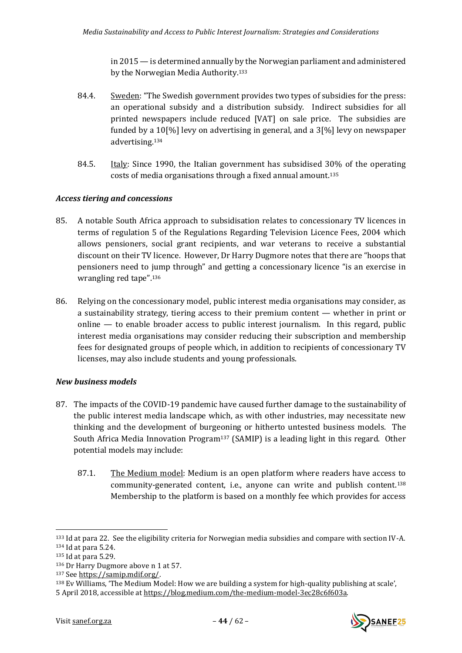in 2015 — is determined annually by the Norwegian parliament and administered by the Norwegian Media Authority.<sup>133</sup>

- 84.4. Sweden: "The Swedish government provides two types of subsidies for the press: an operational subsidy and a distribution subsidy. Indirect subsidies for all printed newspapers include reduced [VAT] on sale price. The subsidies are funded by a 10[%] levy on advertising in general, and a 3[%] levy on newspaper advertising.<sup>134</sup>
- 84.5. Italy: Since 1990, the Italian government has subsidised 30% of the operating costs of media organisations through a fixed annual amount.<sup>135</sup>

## <span id="page-43-0"></span>*Access tiering and concessions*

- 85. A notable South Africa approach to subsidisation relates to concessionary TV licences in terms of regulation 5 of the Regulations Regarding Television Licence Fees, 2004 which allows pensioners, social grant recipients, and war veterans to receive a substantial discount on their TV licence. However, Dr Harry Dugmore notes that there are "hoops that pensioners need to jump through" and getting a concessionary licence "is an exercise in wrangling red tape".<sup>136</sup>
- 86. Relying on the concessionary model, public interest media organisations may consider, as a sustainability strategy, tiering access to their premium content — whether in print or online — to enable broader access to public interest journalism. In this regard, public interest media organisations may consider reducing their subscription and membership fees for designated groups of people which, in addition to recipients of concessionary TV licenses, may also include students and young professionals.

## <span id="page-43-1"></span>*New business models*

- 87. The impacts of the COVID-19 pandemic have caused further damage to the sustainability of the public interest media landscape which, as with other industries, may necessitate new thinking and the development of burgeoning or hitherto untested business models. The South Africa Media Innovation Program<sup>137</sup> (SAMIP) is a leading light in this regard. Other potential models may include:
	- 87.1. The Medium model: Medium is an open platform where readers have access to community-generated content, i.e., anyone can write and publish content. <sup>138</sup> Membership to the platform is based on a monthly fee which provides for access

<sup>137</sup> See [https://samip.mdif.org/.](https://samip.mdif.org/)



<sup>133</sup> Id at para 22. See the eligibility criteria for Norwegian media subsidies and compare with section IV-A. <sup>134</sup> Id at para 5.24.

<sup>135</sup> Id at para 5.29.

<sup>136</sup> Dr Harry Dugmore above [n 1](#page-1-2) at 57.

<sup>138</sup> Ev Williams, 'The Medium Model: How we are building a system for high-quality publishing at scale', 5 April 2018, accessible a[t https://blog.medium.com/the-medium-model-3ec28c6f603a.](https://blog.medium.com/the-medium-model-3ec28c6f603a)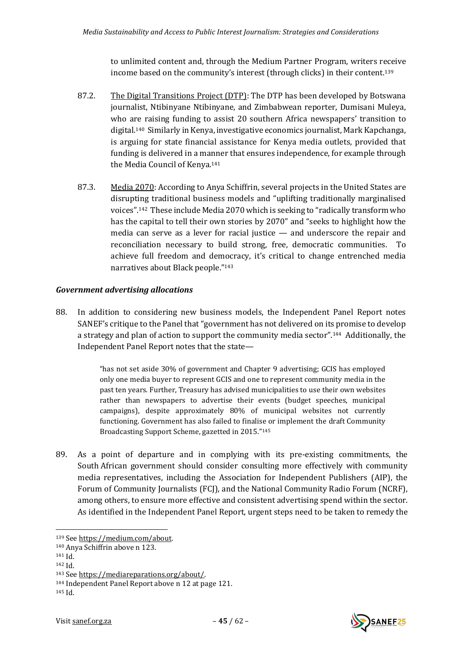to unlimited content and, through the Medium Partner Program, writers receive income based on the community's interest (through clicks) in their content.<sup>139</sup>

- 87.2. The Digital Transitions Project (DTP): The DTP has been developed by Botswana journalist, Ntibinyane Ntibinyane, and Zimbabwean reporter, Dumisani Muleya, who are raising funding to assist 20 southern Africa newspapers' transition to digital.140 Similarly in Kenya, investigative economics journalist, Mark Kapchanga, is arguing for state financial assistance for Kenya media outlets, provided that funding is delivered in a manner that ensures independence, for example through the Media Council of Kenya.<sup>141</sup>
- 87.3. Media 2070: According to Anya Schiffrin, several projects in the United States are disrupting traditional business models and "uplifting traditionally marginalised voices". <sup>142</sup> These include Media 2070 which is seeking to "radically transform who has the capital to tell their own stories by 2070" and "seeks to highlight how the media can serve as a lever for racial justice — and underscore the repair and reconciliation necessary to build strong, free, democratic communities. To achieve full freedom and democracy, it's critical to change entrenched media narratives about Black people." 143

## <span id="page-44-0"></span>*Government advertising allocations*

88. In addition to considering new business models, the Independent Panel Report notes SANEF's critique to the Panel that "government has not delivered on its promise to develop a strategy and plan of action to support the community media sector".144 Additionally, the Independent Panel Report notes that the state—

> "has not set aside 30% of government and Chapter 9 advertising; GCIS has employed only one media buyer to represent GCIS and one to represent community media in the past ten years. Further, Treasury has advised municipalities to use their own websites rather than newspapers to advertise their events (budget speeches, municipal campaigns), despite approximately 80% of municipal websites not currently functioning. Government has also failed to finalise or implement the draft Community Broadcasting Support Scheme, gazetted in 2015." 145

89. As a point of departure and in complying with its pre-existing commitments, the South African government should consider consulting more effectively with community media representatives, including the Association for Independent Publishers (AIP), the Forum of Community Journalists (FCJ), and the National Community Radio Forum (NCRF), among others, to ensure more effective and consistent advertising spend within the sector. As identified in the Independent Panel Report, urgent steps need to be taken to remedy the



<sup>139</sup> See [https://medium.com/about.](https://medium.com/about)

<sup>140</sup> Anya Schiffrin above n [123.](#page-41-2)

 $141$  Id.

<sup>142</sup> Id.

<sup>143</sup> See [https://mediareparations.org/about/.](https://mediareparations.org/about/)

<sup>144</sup> Independent Panel Report above n [12](#page-9-2) at page 121.

<sup>145</sup> Id.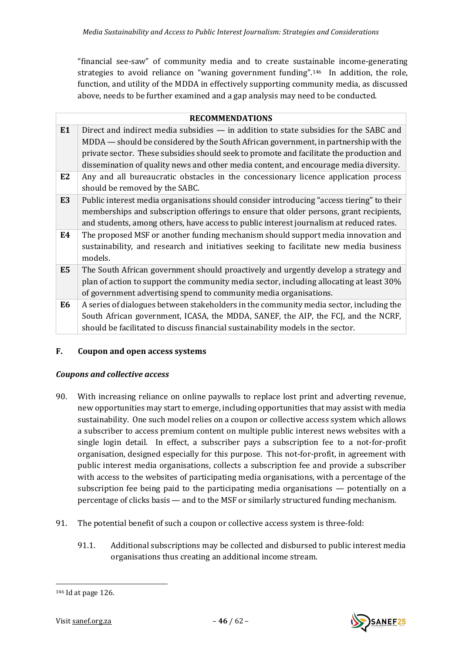"financial see-saw" of community media and to create sustainable income-generating strategies to avoid reliance on "waning government funding".146 In addition, the role, function, and utility of the MDDA in effectively supporting community media, as discussed above, needs to be further examined and a gap analysis may need to be conducted.

|                | <b>RECOMMENDATIONS</b>                                                                    |  |
|----------------|-------------------------------------------------------------------------------------------|--|
| E1             | Direct and indirect media subsidies — in addition to state subsidies for the SABC and     |  |
|                | MDDA — should be considered by the South African government, in partnership with the      |  |
|                | private sector. These subsidies should seek to promote and facilitate the production and  |  |
|                | dissemination of quality news and other media content, and encourage media diversity.     |  |
| E <sub>2</sub> | Any and all bureaucratic obstacles in the concessionary licence application process       |  |
|                | should be removed by the SABC.                                                            |  |
| E <sub>3</sub> | Public interest media organisations should consider introducing "access tiering" to their |  |
|                | memberships and subscription offerings to ensure that older persons, grant recipients,    |  |
|                | and students, among others, have access to public interest journalism at reduced rates.   |  |
| E4             | The proposed MSF or another funding mechanism should support media innovation and         |  |
|                | sustainability, and research and initiatives seeking to facilitate new media business     |  |
|                | models.                                                                                   |  |
| E <sub>5</sub> | The South African government should proactively and urgently develop a strategy and       |  |
|                | plan of action to support the community media sector, including allocating at least 30%   |  |
|                | of government advertising spend to community media organisations.                         |  |
| E <sub>6</sub> | A series of dialogues between stakeholders in the community media sector, including the   |  |
|                | South African government, ICASA, the MDDA, SANEF, the AIP, the FCJ, and the NCRF,         |  |
|                | should be facilitated to discuss financial sustainability models in the sector.           |  |

## <span id="page-45-0"></span>**F. Coupon and open access systems**

## <span id="page-45-1"></span>*Coupons and collective access*

- 90. With increasing reliance on online paywalls to replace lost print and adverting revenue, new opportunities may start to emerge, including opportunities that may assist with media sustainability. One such model relies on a coupon or collective access system which allows a subscriber to access premium content on multiple public interest news websites with a single login detail. In effect, a subscriber pays a subscription fee to a not-for-profit organisation, designed especially for this purpose. This not-for-profit, in agreement with public interest media organisations, collects a subscription fee and provide a subscriber with access to the websites of participating media organisations, with a percentage of the subscription fee being paid to the participating media organisations — potentially on a percentage of clicks basis — and to the MSF or similarly structured funding mechanism.
- 91. The potential benefit of such a coupon or collective access system is three-fold:
	- 91.1. Additional subscriptions may be collected and disbursed to public interest media organisations thus creating an additional income stream.

<sup>146</sup> Id at page 126.

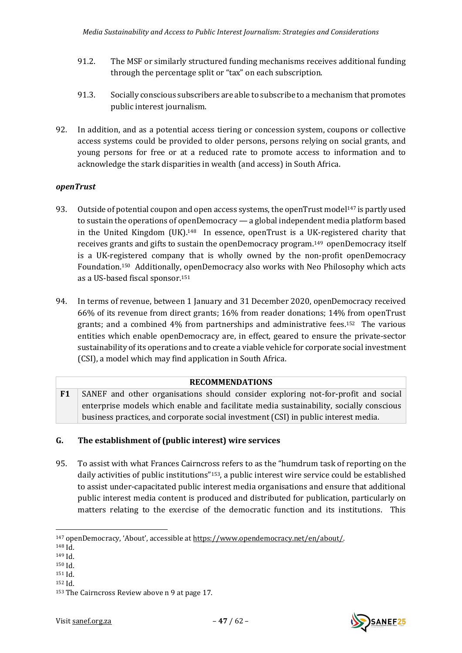- 91.2. The MSF or similarly structured funding mechanisms receives additional funding through the percentage split or "tax" on each subscription.
- 91.3. Socially conscious subscribers are able to subscribe to a mechanism that promotes public interest journalism.
- 92. In addition, and as a potential access tiering or concession system, coupons or collective access systems could be provided to older persons, persons relying on social grants, and young persons for free or at a reduced rate to promote access to information and to acknowledge the stark disparities in wealth (and access) in South Africa.

## <span id="page-46-0"></span>*openTrust*

- 93. Outside of potential coupon and open access systems, the openTrust model<sup>147</sup> is partly used to sustain the operations of openDemocracy — a global independent media platform based in the United Kingdom (UK).<sup>148</sup> In essence, openTrust is a UK-registered charity that receives grants and gifts to sustain the openDemocracy program.149 openDemocracy itself is a UK-registered company that is wholly owned by the non-profit openDemocracy Foundation.150 Additionally, openDemocracy also works with Neo Philosophy which acts as a US-based fiscal sponsor.<sup>151</sup>
- 94. In terms of revenue, between 1 January and 31 December 2020, openDemocracy received 66% of its revenue from direct grants; 16% from reader donations; 14% from openTrust grants; and a combined 4% from partnerships and administrative fees.<sup>152</sup> The various entities which enable openDemocracy are, in effect, geared to ensure the private-sector sustainability of its operations and to create a viable vehicle for corporate social investment (CSI), a model which may find application in South Africa.

## <span id="page-46-2"></span>**RECOMMENDATIONS**

**F1** SANEF and other organisations should consider exploring not-for-profit and social enterprise models which enable and facilitate media sustainability, socially conscious business practices, and corporate social investment (CSI) in public interest media.

## <span id="page-46-1"></span>**G. The establishment of (public interest) wire services**

95. To assist with what Frances Cairncross refers to as the "humdrum task of reporting on the daily activities of public institutions"153, a public interest wire service could be established to assist under-capacitated public interest media organisations and ensure that additional public interest media content is produced and distributed for publication, particularly on matters relating to the exercise of the democratic function and its institutions. This

<sup>151</sup> Id.



<sup>147</sup> openDemocracy, 'About', accessible at [https://www.opendemocracy.net/en/about/.](https://www.opendemocracy.net/en/about/)

 $148$  Id.

<sup>149</sup> Id.

<sup>150</sup> Id.

<sup>152</sup> Id.

<sup>153</sup> The Cairncross Review above [n 9](#page-8-1) at page 17.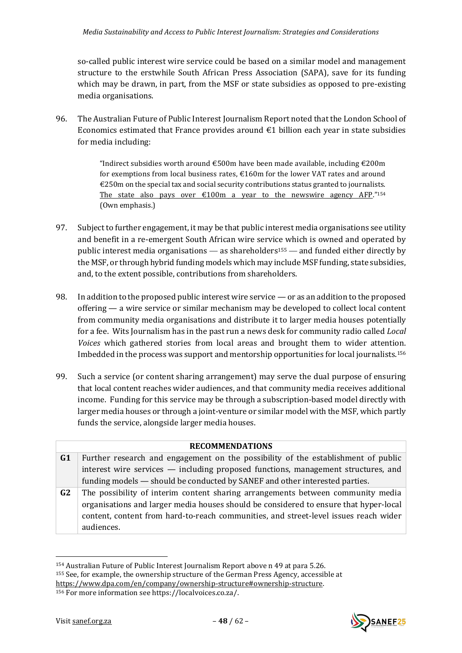so-called public interest wire service could be based on a similar model and management structure to the erstwhile South African Press Association (SAPA), save for its funding which may be drawn, in part, from the MSF or state subsidies as opposed to pre-existing media organisations.

96. The Australian Future of Public Interest Journalism Report noted that the London School of Economics estimated that France provides around  $\epsilon$ 1 billion each year in state subsidies for media including:

> "Indirect subsidies worth around  $\epsilon$ 500m have been made available, including  $\epsilon$ 200m for exemptions from local business rates,  $\epsilon$ 160m for the lower VAT rates and around  $E250$ m on the special tax and social security contributions status granted to journalists. The state also pays over  $\epsilon$ 100m a year to the newswire agency AFP."<sup>154</sup> (Own emphasis.)

- 97. Subject to further engagement, it may be that public interest media organisations see utility and benefit in a re-emergent South African wire service which is owned and operated by public interest media organisations — as shareholders<sup>155</sup> — and funded either directly by the MSF, or through hybrid funding models which may include MSF funding, state subsidies, and, to the extent possible, contributions from shareholders.
- 98. In addition to the proposed public interest wire service or as an addition to the proposed offering — a wire service or similar mechanism may be developed to collect local content from community media organisations and distribute it to larger media houses potentially for a fee. Wits Journalism has in the past run a news desk for community radio called *Local Voices* which gathered stories from local areas and brought them to wider attention. Imbedded in the process was support and mentorship opportunities for local journalists.<sup>156</sup>
- 99. Such a service (or content sharing arrangement) may serve the dual purpose of ensuring that local content reaches wider audiences, and that community media receives additional income. Funding for this service may be through a subscription-based model directly with larger media houses or through a joint-venture or similar model with the MSF, which partly funds the service, alongside larger media houses.

|                | <b>RECOMMENDATIONS</b>                                                                |  |
|----------------|---------------------------------------------------------------------------------------|--|
| G <sub>1</sub> | Further research and engagement on the possibility of the establishment of public     |  |
|                | interest wire services — including proposed functions, management structures, and     |  |
|                | funding models — should be conducted by SANEF and other interested parties.           |  |
| G <sub>2</sub> | The possibility of interim content sharing arrangements between community media       |  |
|                | organisations and larger media houses should be considered to ensure that hyper-local |  |
|                | content, content from hard-to-reach communities, and street-level issues reach wider  |  |
|                | audiences.                                                                            |  |

<sup>154</sup> Australian Future of Public Interest Journalism Report above n [49](#page-17-2) at para 5.26. <sup>155</sup> See, for example, the ownership structure of the German Press Agency, accessible at [https://www.dpa.com/en/company/ownership-structure#ownership-structure.](https://www.dpa.com/en/company/ownership-structure#ownership-structure)



<sup>156</sup> For more information see https://localvoices.co.za/.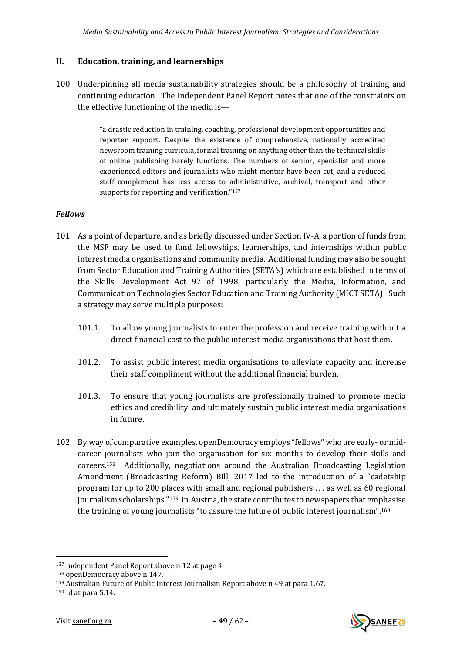## <span id="page-48-0"></span>**H. Education, training, and learnerships**

100. Underpinning all media sustainability strategies should be a philosophy of training and continuing education. The Independent Panel Report notes that one of the constraints on the effective functioning of the media is—

> "a drastic reduction in training, coaching, professional development opportunities and reporter support. Despite the existence of comprehensive, nationally accredited newsroom training curricula, formal training on anything other than the technical skills of online publishing barely functions. The numbers of senior, specialist and more experienced editors and journalists who might mentor have been cut, and a reduced staff complement has less access to administrative, archival, transport and other supports for reporting and verification."<sup>157</sup>

## <span id="page-48-1"></span>*Fellows*

- 101. As a point of departure, and as briefly discussed under Section IV-A, a portion of funds from the MSF may be used to fund fellowships, learnerships, and internships within public interest media organisations and community media. Additional funding may also be sought from Sector Education and Training Authorities (SETA's) which are established in terms of the Skills Development Act 97 of 1998, particularly the Media, Information, and Communication Technologies Sector Education and Training Authority (MICT SETA). Such a strategy may serve multiple purposes:
	- 101.1. To allow young journalists to enter the profession and receive training without a direct financial cost to the public interest media organisations that host them.
	- 101.2. To assist public interest media organisations to alleviate capacity and increase their staff compliment without the additional financial burden.
	- 101.3. To ensure that young journalists are professionally trained to promote media ethics and credibility, and ultimately sustain public interest media organisations in future.
- 102. By way of comparative examples, openDemocracy employs "fellows" who are early- or midcareer journalists who join the organisation for six months to develop their skills and careers.158 Additionally, negotiations around the Australian Broadcasting Legislation Amendment (Broadcasting Reform) Bill, 2017 led to the introduction of a "cadetship program for up to 200 places with small and regional publishers . . . as well as 60 regional iournalism scholarships."<sup>159</sup> In Austria, the state contributes to newspapers that emphasise the training of young journalists "to assure the future of public interest journalism".<sup>160</sup>

<sup>160</sup> Id at para 5.14.





<sup>157</sup> Independent Panel Report above n [12](#page-9-2) at page 4.

<sup>158</sup> openDemocracy above n [147.](#page-46-2)

<sup>159</sup> Australian Future of Public Interest Journalism Report above n [49](#page-17-2) at para 1.67.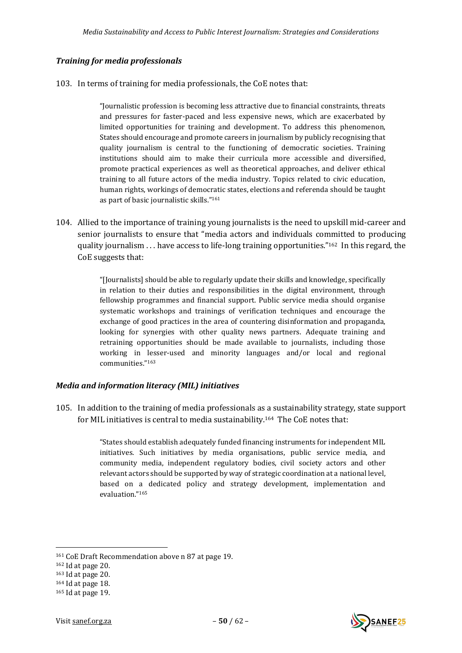## <span id="page-49-0"></span>*Training for media professionals*

103. In terms of training for media professionals, the CoE notes that:

"Journalistic profession is becoming less attractive due to financial constraints, threats and pressures for faster-paced and less expensive news, which are exacerbated by limited opportunities for training and development. To address this phenomenon, States should encourage and promote careers in journalism by publicly recognising that quality journalism is central to the functioning of democratic societies. Training institutions should aim to make their curricula more accessible and diversified, promote practical experiences as well as theoretical approaches, and deliver ethical training to all future actors of the media industry. Topics related to civic education, human rights, workings of democratic states, elections and referenda should be taught as part of basic journalistic skills."<sup>161</sup>

104. Allied to the importance of training young journalists is the need to upskill mid-career and senior journalists to ensure that "media actors and individuals committed to producing quality journalism  $\ldots$  have access to life-long training opportunities."<sup>162</sup> In this regard, the CoE suggests that:

> "[Journalists] should be able to regularly update their skills and knowledge, specifically in relation to their duties and responsibilities in the digital environment, through fellowship programmes and financial support. Public service media should organise systematic workshops and trainings of verification techniques and encourage the exchange of good practices in the area of countering disinformation and propaganda, looking for synergies with other quality news partners. Adequate training and retraining opportunities should be made available to journalists, including those working in lesser-used and minority languages and/or local and regional communities."<sup>163</sup>

## <span id="page-49-1"></span>*Media and information literacy (MIL) initiatives*

105. In addition to the training of media professionals as a sustainability strategy, state support for MIL initiatives is central to media sustainability. <sup>164</sup> The CoE notes that:

> "States should establish adequately funded financing instruments for independent MIL initiatives. Such initiatives by media organisations, public service media, and community media, independent regulatory bodies, civil society actors and other relevant actors should be supported by way of strategic coordination at a national level, based on a dedicated policy and strategy development, implementation and evaluation."<sup>165</sup>

<sup>161</sup> CoE Draft Recommendation above n [87](#page-29-1) at page 19.

<sup>162</sup> Id at page 20.

<sup>163</sup> Id at page 20.

<sup>164</sup> Id at page 18.

<sup>165</sup> Id at page 19.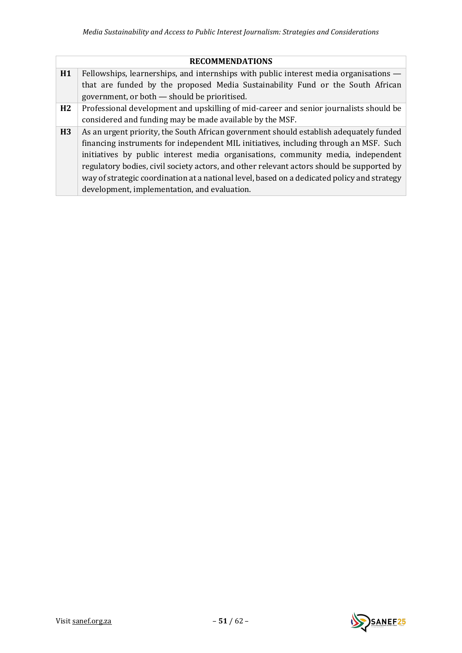#### **RECOMMENDATIONS**

- **H1** Fellowships, learnerships, and internships with public interest media organisations that are funded by the proposed Media Sustainability Fund or the South African government, or both — should be prioritised.
- **H2** Professional development and upskilling of mid-career and senior journalists should be considered and funding may be made available by the MSF.
- **H3** As an urgent priority, the South African government should establish adequately funded financing instruments for independent MIL initiatives, including through an MSF. Such initiatives by public interest media organisations, community media, independent regulatory bodies, civil society actors, and other relevant actors should be supported by way of strategic coordination at a national level, based on a dedicated policy and strategy development, implementation, and evaluation.

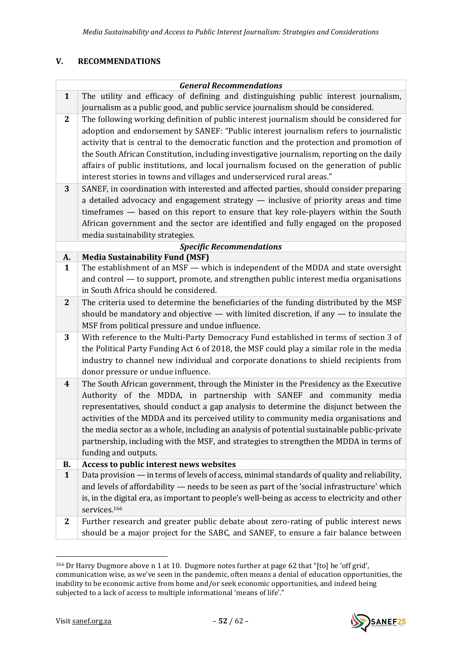## <span id="page-51-0"></span>**V. RECOMMENDATIONS**

<span id="page-51-3"></span><span id="page-51-2"></span><span id="page-51-1"></span>

|                | <b>General Recommendations</b>                                                                 |  |
|----------------|------------------------------------------------------------------------------------------------|--|
| $\mathbf{1}$   | The utility and efficacy of defining and distinguishing public interest journalism,            |  |
|                | journalism as a public good, and public service journalism should be considered.               |  |
| $\mathbf{2}$   | The following working definition of public interest journalism should be considered for        |  |
|                | adoption and endorsement by SANEF: "Public interest journalism refers to journalistic          |  |
|                | activity that is central to the democratic function and the protection and promotion of        |  |
|                | the South African Constitution, including investigative journalism, reporting on the daily     |  |
|                | affairs of public institutions, and local journalism focused on the generation of public       |  |
|                | interest stories in towns and villages and underserviced rural areas."                         |  |
| 3              | SANEF, in coordination with interested and affected parties, should consider preparing         |  |
|                | a detailed advocacy and engagement strategy $-$ inclusive of priority areas and time           |  |
|                | timeframes - based on this report to ensure that key role-players within the South             |  |
|                | African government and the sector are identified and fully engaged on the proposed             |  |
|                | media sustainability strategies.                                                               |  |
|                | <b>Specific Recommendations</b>                                                                |  |
| А.             | <b>Media Sustainability Fund (MSF)</b>                                                         |  |
| $\mathbf{1}$   | The establishment of an MSF — which is independent of the MDDA and state oversight             |  |
|                | and control — to support, promote, and strengthen public interest media organisations          |  |
|                | in South Africa should be considered.                                                          |  |
| $\overline{2}$ | The criteria used to determine the beneficiaries of the funding distributed by the MSF         |  |
|                | should be mandatory and objective $-$ with limited discretion, if any $-$ to insulate the      |  |
|                | MSF from political pressure and undue influence.                                               |  |
| 3              | With reference to the Multi-Party Democracy Fund established in terms of section 3 of          |  |
|                | the Political Party Funding Act 6 of 2018, the MSF could play a similar role in the media      |  |
|                | industry to channel new individual and corporate donations to shield recipients from           |  |
|                | donor pressure or undue influence.                                                             |  |
| 4              | The South African government, through the Minister in the Presidency as the Executive          |  |
|                | Authority of the MDDA, in partnership with SANEF and community media                           |  |
|                | representatives, should conduct a gap analysis to determine the disjunct between the           |  |
|                | activities of the MDDA and its perceived utility to community media organisations and          |  |
|                | the media sector as a whole, including an analysis of potential sustainable public-private     |  |
|                | partnership, including with the MSF, and strategies to strengthen the MDDA in terms of         |  |
|                | funding and outputs.                                                                           |  |
| <b>B.</b>      | Access to public interest news websites                                                        |  |
| $\mathbf{1}$   | Data provision — in terms of levels of access, minimal standards of quality and reliability,   |  |
|                | and levels of affordability - needs to be seen as part of the 'social infrastructure' which    |  |
|                | is, in the digital era, as important to people's well-being as access to electricity and other |  |
|                | services. <sup>166</sup>                                                                       |  |
| $\mathbf{2}$   | Further research and greater public debate about zero-rating of public interest news           |  |
|                | should be a major project for the SABC, and SANEF, to ensure a fair balance between            |  |

<span id="page-51-4"></span><sup>166</sup> Dr Harry Dugmore above [n 1](#page-1-2) at 10. Dugmore notes further at page 62 that "[to] be 'off grid', communication wise, as we've seen in the pandemic, often means a denial of education opportunities, the inability to be economic active from home and/or seek economic opportunities, and indeed being subjected to a lack of access to multiple informational 'means of life'."

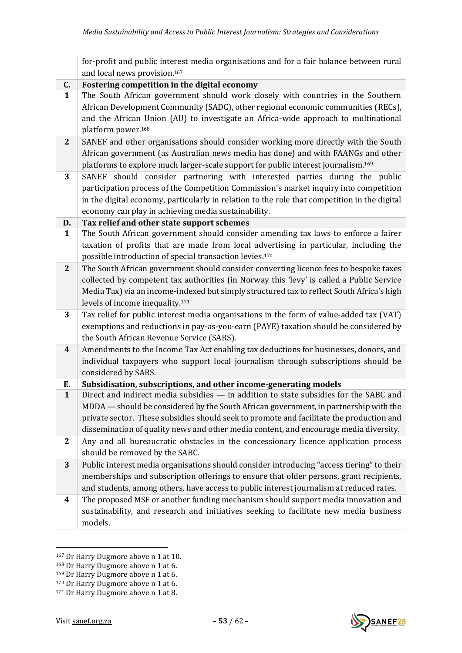<span id="page-52-1"></span><span id="page-52-0"></span>

|              | for-profit and public interest media organisations and for a fair balance between rural                                                                                                                                                                                                                                                                            |
|--------------|--------------------------------------------------------------------------------------------------------------------------------------------------------------------------------------------------------------------------------------------------------------------------------------------------------------------------------------------------------------------|
|              | and local news provision. <sup>167</sup>                                                                                                                                                                                                                                                                                                                           |
| C.           | Fostering competition in the digital economy                                                                                                                                                                                                                                                                                                                       |
| $\mathbf{1}$ | The South African government should work closely with countries in the Southern<br>African Development Community (SADC), other regional economic communities (RECs),<br>and the African Union (AU) to investigate an Africa-wide approach to multinational<br>platform power. <sup>168</sup>                                                                       |
| $\mathbf{2}$ | SANEF and other organisations should consider working more directly with the South<br>African government (as Australian news media has done) and with FAANGs and other<br>platforms to explore much larger-scale support for public interest journalism. <sup>169</sup>                                                                                            |
| 3            | SANEF should consider partnering with interested parties during the public<br>participation process of the Competition Commission's market inquiry into competition<br>in the digital economy, particularly in relation to the role that competition in the digital<br>economy can play in achieving media sustainability.                                         |
| D.           | Tax relief and other state support schemes                                                                                                                                                                                                                                                                                                                         |
| $\mathbf{1}$ | The South African government should consider amending tax laws to enforce a fairer<br>taxation of profits that are made from local advertising in particular, including the<br>possible introduction of special transaction levies. <sup>170</sup>                                                                                                                 |
| $\mathbf{2}$ | The South African government should consider converting licence fees to bespoke taxes<br>collected by competent tax authorities (in Norway this 'levy' is called a Public Service<br>Media Tax) via an income-indexed but simply structured tax to reflect South Africa's high<br>levels of income inequality. <sup>171</sup>                                      |
| 3            | Tax relief for public interest media organisations in the form of value-added tax (VAT)<br>exemptions and reductions in pay-as-you-earn (PAYE) taxation should be considered by<br>the South African Revenue Service (SARS).                                                                                                                                       |
| 4            | Amendments to the Income Tax Act enabling tax deductions for businesses, donors, and<br>individual taxpayers who support local journalism through subscriptions should be<br>considered by SARS.                                                                                                                                                                   |
| Е.           | Subsidisation, subscriptions, and other income-generating models                                                                                                                                                                                                                                                                                                   |
| $\mathbf{1}$ | Direct and indirect media subsidies - in addition to state subsidies for the SABC and<br>MDDA — should be considered by the South African government, in partnership with the<br>private sector. These subsidies should seek to promote and facilitate the production and<br>dissemination of quality news and other media content, and encourage media diversity. |
| $\mathbf{2}$ | Any and all bureaucratic obstacles in the concessionary licence application process<br>should be removed by the SABC.                                                                                                                                                                                                                                              |
| 3            | Public interest media organisations should consider introducing "access tiering" to their<br>memberships and subscription offerings to ensure that older persons, grant recipients,<br>and students, among others, have access to public interest journalism at reduced rates.                                                                                     |
| 4            | The proposed MSF or another funding mechanism should support media innovation and<br>sustainability, and research and initiatives seeking to facilitate new media business<br>models.                                                                                                                                                                              |

<span id="page-52-2"></span><sup>&</sup>lt;sup>167</sup> Dr Harry Dugmore above [n 1](#page-1-2) at 10.



<sup>168</sup> Dr Harry Dugmore above [n 1](#page-1-2) at 6.

<sup>169</sup> Dr Harry Dugmore above [n 1](#page-1-2) at 6.

<sup>170</sup> Dr Harry Dugmore above [n 1](#page-1-2) at 6.

<sup>&</sup>lt;sup>171</sup> Dr Harry Dugmore above [n 1](#page-1-2) at 8.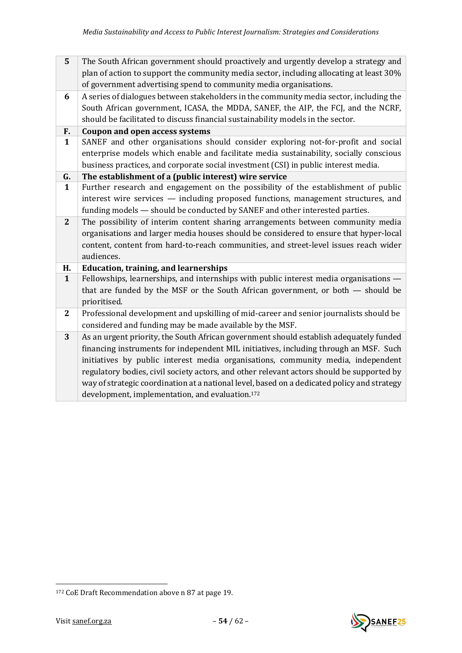<span id="page-53-2"></span><span id="page-53-1"></span><span id="page-53-0"></span>

| 5                | The South African government should proactively and urgently develop a strategy and<br>plan of action to support the community media sector, including allocating at least 30%<br>of government advertising spend to community media organisations.                                                                                                                                                                                                                                                                            |
|------------------|--------------------------------------------------------------------------------------------------------------------------------------------------------------------------------------------------------------------------------------------------------------------------------------------------------------------------------------------------------------------------------------------------------------------------------------------------------------------------------------------------------------------------------|
| 6                | A series of dialogues between stakeholders in the community media sector, including the<br>South African government, ICASA, the MDDA, SANEF, the AIP, the FCJ, and the NCRF,<br>should be facilitated to discuss financial sustainability models in the sector.                                                                                                                                                                                                                                                                |
| F.               | <b>Coupon and open access systems</b>                                                                                                                                                                                                                                                                                                                                                                                                                                                                                          |
| $\mathbf{1}$     | SANEF and other organisations should consider exploring not-for-profit and social<br>enterprise models which enable and facilitate media sustainability, socially conscious<br>business practices, and corporate social investment (CSI) in public interest media.                                                                                                                                                                                                                                                             |
| G.               | The establishment of a (public interest) wire service                                                                                                                                                                                                                                                                                                                                                                                                                                                                          |
| $\mathbf{1}$     | Further research and engagement on the possibility of the establishment of public<br>interest wire services - including proposed functions, management structures, and<br>funding models - should be conducted by SANEF and other interested parties.                                                                                                                                                                                                                                                                          |
| $\mathbf{2}$     | The possibility of interim content sharing arrangements between community media<br>organisations and larger media houses should be considered to ensure that hyper-local<br>content, content from hard-to-reach communities, and street-level issues reach wider<br>audiences.                                                                                                                                                                                                                                                 |
| Н.               | <b>Education, training, and learnerships</b>                                                                                                                                                                                                                                                                                                                                                                                                                                                                                   |
| $\mathbf{1}$     | Fellowships, learnerships, and internships with public interest media organisations -<br>that are funded by the MSF or the South African government, or both - should be<br>prioritised.                                                                                                                                                                                                                                                                                                                                       |
| $\boldsymbol{2}$ | Professional development and upskilling of mid-career and senior journalists should be<br>considered and funding may be made available by the MSF.                                                                                                                                                                                                                                                                                                                                                                             |
| 3                | As an urgent priority, the South African government should establish adequately funded<br>financing instruments for independent MIL initiatives, including through an MSF. Such<br>initiatives by public interest media organisations, community media, independent<br>regulatory bodies, civil society actors, and other relevant actors should be supported by<br>way of strategic coordination at a national level, based on a dedicated policy and strategy<br>development, implementation, and evaluation. <sup>172</sup> |



<sup>172</sup> CoE Draft Recommendation above n [87](#page-29-1) at page 19.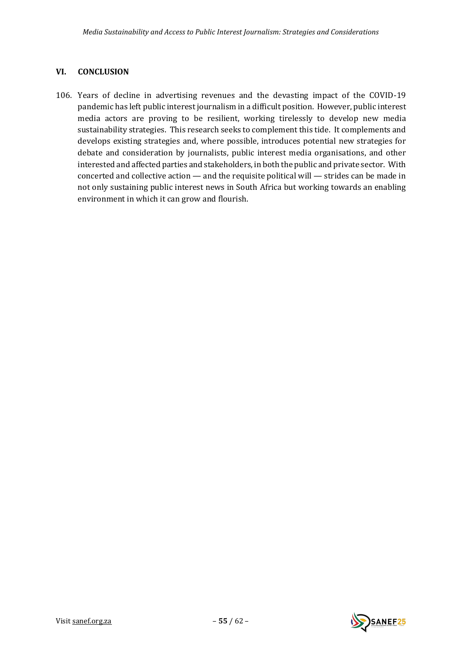## <span id="page-54-0"></span>**VI. CONCLUSION**

106. Years of decline in advertising revenues and the devasting impact of the COVID-19 pandemic has left public interest journalism in a difficult position. However, public interest media actors are proving to be resilient, working tirelessly to develop new media sustainability strategies. This research seeks to complement this tide. It complements and develops existing strategies and, where possible, introduces potential new strategies for debate and consideration by journalists, public interest media organisations, and other interested and affected parties and stakeholders, in both the public and private sector. With concerted and collective action — and the requisite political will — strides can be made in not only sustaining public interest news in South Africa but working towards an enabling environment in which it can grow and flourish.

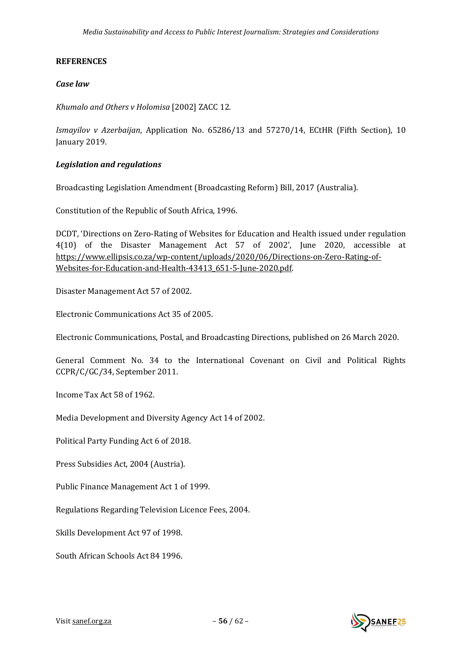## <span id="page-55-0"></span>**REFERENCES**

#### *Case law*

*Khumalo and Others v Holomisa* [2002] ZACC 12.

*Ismayilov v Azerbaijan*, Application No. 65286/13 and 57270/14, ECtHR (Fifth Section), 10 January 2019.

## *Legislation and regulations*

Broadcasting Legislation Amendment (Broadcasting Reform) Bill, 2017 (Australia).

Constitution of the Republic of South Africa, 1996.

DCDT, 'Directions on Zero-Rating of Websites for Education and Health issued under regulation 4(10) of the Disaster Management Act 57 of 2002', June 2020, accessible at [https://www.ellipsis.co.za/wp-content/uploads/2020/06/Directions-on-Zero-Rating-of-](https://www.ellipsis.co.za/wp-content/uploads/2020/06/Directions-on-Zero-Rating-of-Websites-for-Education-and-Health-43413_651-5-June-2020.pdf)[Websites-for-Education-and-Health-43413\\_651-5-June-2020.pdf.](https://www.ellipsis.co.za/wp-content/uploads/2020/06/Directions-on-Zero-Rating-of-Websites-for-Education-and-Health-43413_651-5-June-2020.pdf)

Disaster Management Act 57 of 2002.

Electronic Communications Act 35 of 2005.

Electronic Communications, Postal, and Broadcasting Directions, published on 26 March 2020.

General Comment No. 34 to the International Covenant on Civil and Political Rights CCPR/C/GC/34, September 2011.

Income Tax Act 58 of 1962.

Media Development and Diversity Agency Act 14 of 2002.

Political Party Funding Act 6 of 2018.

Press Subsidies Act, 2004 (Austria).

Public Finance Management Act 1 of 1999.

Regulations Regarding Television Licence Fees, 2004.

Skills Development Act 97 of 1998.

South African Schools Act 84 1996.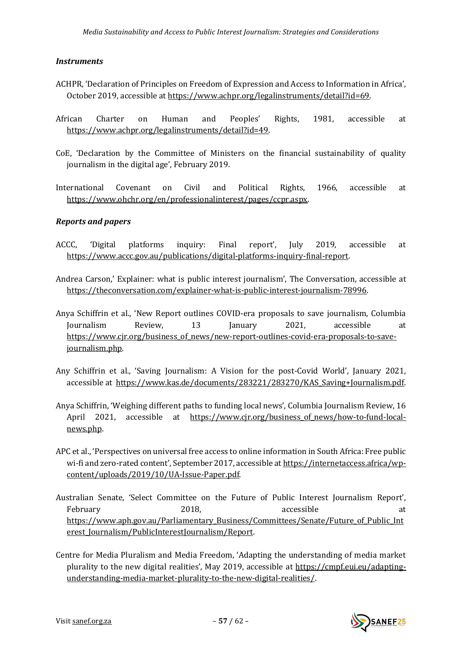#### *Instruments*

- ACHPR, 'Declaration of Principles on Freedom of Expression and Access to Information in Africa', October 2019, accessible a[t https://www.achpr.org/legalinstruments/detail?id=69.](https://www.achpr.org/legalinstruments/detail?id=69)
- African Charter on Human and Peoples' Rights, 1981, accessible at [https://www.achpr.org/legalinstruments/detail?id=49.](https://www.achpr.org/legalinstruments/detail?id=49)
- CoE, 'Declaration by the Committee of Ministers on the financial sustainability of quality journalism in the digital age', February 2019.
- International Covenant on Civil and Political Rights, 1966, accessible at [https://www.ohchr.org/en/professionalinterest/pages/ccpr.aspx.](https://www.ohchr.org/en/professionalinterest/pages/ccpr.aspx)

## *Reports and papers*

- ACCC, 'Digital platforms inquiry: Final report', July 2019, accessible at [https://www.accc.gov.au/publications/digital-platforms-inquiry-final-report.](https://www.accc.gov.au/publications/digital-platforms-inquiry-final-report)
- Andrea Carson,' Explainer: what is public interest journalism', The Conversation, accessible at [https://theconversation.com/explainer-what-is-public-interest-journalism-78996.](https://theconversation.com/explainer-what-is-public-interest-journalism-78996)
- Anya Schiffrin et al., 'New Report outlines COVID-era proposals to save journalism, Columbia Journalism Review, 13 January 2021, accessible at [https://www.cjr.org/business\\_of\\_news/new-report-outlines-covid-era-proposals-to-save](https://www.cjr.org/business_of_news/new-report-outlines-covid-era-proposals-to-save-journalism.php)[journalism.php.](https://www.cjr.org/business_of_news/new-report-outlines-covid-era-proposals-to-save-journalism.php)
- Any Schiffrin et al., 'Saving Journalism: A Vision for the post-Covid World', January 2021, accessible at [https://www.kas.de/documents/283221/283270/KAS\\_Saving+Journalism.pdf.](https://www.kas.de/documents/283221/283270/KAS_Saving+Journalism.pdf)
- Anya Schiffrin, 'Weighing different paths to funding local news', Columbia Journalism Review, 16 April 2021, accessible at [https://www.cjr.org/business\\_of\\_news/how-to-fund-local](https://www.cjr.org/business_of_news/how-to-fund-local-news.php)[news.php.](https://www.cjr.org/business_of_news/how-to-fund-local-news.php)
- APC et al., 'Perspectives on universal free access to online information in South Africa: Free public wi-fi and zero-rated content', September 2017, accessible at [https://internetaccess.africa/wp](https://internetaccess.africa/wp-content/uploads/2019/10/UA-Issue-Paper.pdf)[content/uploads/2019/10/UA-Issue-Paper.pdf.](https://internetaccess.africa/wp-content/uploads/2019/10/UA-Issue-Paper.pdf)
- Australian Senate, 'Select Committee on the Future of Public Interest Journalism Report', February 2018, accessible at [https://www.aph.gov.au/Parliamentary\\_Business/Committees/Senate/Future\\_of\\_Public\\_Int](https://www.aph.gov.au/Parliamentary_Business/Committees/Senate/Future_of_Public_Interest_Journalism/PublicInterestJournalism/Report) erest Journalism/PublicInterestJournalism/Report.
- Centre for Media Pluralism and Media Freedom, 'Adapting the understanding of media market plurality to the new digital realities', May 2019, accessible at [https://cmpf.eui.eu/adapting](https://cmpf.eui.eu/adapting-understanding-media-market-plurality-to-the-new-digital-realities/)[understanding-media-market-plurality-to-the-new-digital-realities/.](https://cmpf.eui.eu/adapting-understanding-media-market-plurality-to-the-new-digital-realities/)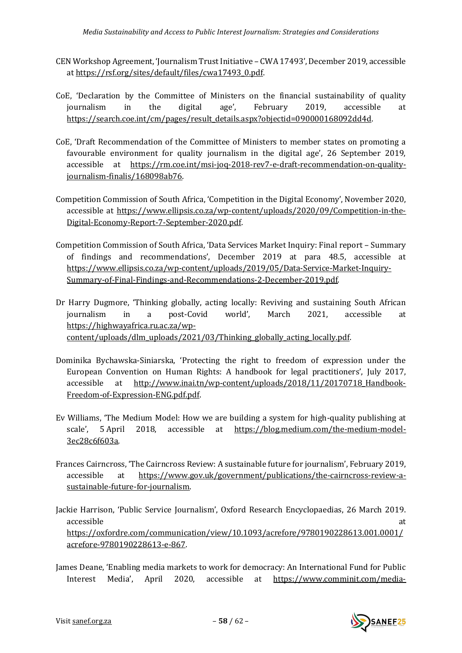- CEN Workshop Agreement, 'Journalism Trust Initiative CWA 17493', December 2019, accessible a[t https://rsf.org/sites/default/files/cwa17493\\_0.pdf.](https://rsf.org/sites/default/files/cwa17493_0.pdf)
- CoE, 'Declaration by the Committee of Ministers on the financial sustainability of quality journalism in the digital age', February 2019, accessible at [https://search.coe.int/cm/pages/result\\_details.aspx?objectid=090000168092dd4d.](https://search.coe.int/cm/pages/result_details.aspx?objectid=090000168092dd4d)
- CoE, 'Draft Recommendation of the Committee of Ministers to member states on promoting a favourable environment for quality journalism in the digital age', 26 September 2019, accessible at [https://rm.coe.int/msi-joq-2018-rev7-e-draft-recommendation-on-quality](https://rm.coe.int/msi-joq-2018-rev7-e-draft-recommendation-on-quality-journalism-finalis/168098ab76)[journalism-finalis/168098ab76.](https://rm.coe.int/msi-joq-2018-rev7-e-draft-recommendation-on-quality-journalism-finalis/168098ab76)
- Competition Commission of South Africa, 'Competition in the Digital Economy', November 2020, accessible at [https://www.ellipsis.co.za/wp-content/uploads/2020/09/Competition-in-the-](https://www.ellipsis.co.za/wp-content/uploads/2020/09/Competition-in-the-Digital-Economy-Report-7-September-2020.pdf)[Digital-Economy-Report-7-September-2020.pdf.](https://www.ellipsis.co.za/wp-content/uploads/2020/09/Competition-in-the-Digital-Economy-Report-7-September-2020.pdf)
- Competition Commission of South Africa, 'Data Services Market Inquiry: Final report Summary of findings and recommendations', December 2019 at para 48.5, accessible at [https://www.ellipsis.co.za/wp-content/uploads/2019/05/Data-Service-Market-Inquiry-](https://www.ellipsis.co.za/wp-content/uploads/2019/05/Data-Service-Market-Inquiry-Summary-of-Final-Findings-and-Recommendations-2-December-2019.pdf)[Summary-of-Final-Findings-and-Recommendations-2-December-2019.pdf.](https://www.ellipsis.co.za/wp-content/uploads/2019/05/Data-Service-Market-Inquiry-Summary-of-Final-Findings-and-Recommendations-2-December-2019.pdf)
- Dr Harry Dugmore, 'Thinking globally, acting locally: Reviving and sustaining South African journalism in a post-Covid world', March 2021, accessible at [https://highwayafrica.ru.ac.za/wp](https://highwayafrica.ru.ac.za/wp-content/uploads/dlm_uploads/2021/03/Thinking_globally_acting_locally.pdf)[content/uploads/dlm\\_uploads/2021/03/Thinking\\_globally\\_acting\\_locally.pdf.](https://highwayafrica.ru.ac.za/wp-content/uploads/dlm_uploads/2021/03/Thinking_globally_acting_locally.pdf)
- Dominika Bychawska-Siniarska, 'Protecting the right to freedom of expression under the European Convention on Human Rights: A handbook for legal practitioners', July 2017, accessible at http://www.inai.tn/wp-content/uploads/2018/11/20170718 Handbook-[Freedom-of-Expression-ENG.pdf.pdf.](http://www.inai.tn/wp-content/uploads/2018/11/20170718_Handbook-Freedom-of-Expression-ENG.pdf.pdf)
- Ev Williams, 'The Medium Model: How we are building a system for high-quality publishing at scale', 5 April 2018, accessible at [https://blog.medium.com/the-medium-model-](https://blog.medium.com/the-medium-model-3ec28c6f603a)[3ec28c6f603a.](https://blog.medium.com/the-medium-model-3ec28c6f603a)
- Frances Cairncross, 'The Cairncross Review: A sustainable future for journalism', February 2019, accessible at [https://www.gov.uk/government/publications/the-cairncross-review-a](https://www.gov.uk/government/publications/the-cairncross-review-a-sustainable-future-for-journalism)[sustainable-future-for-journalism.](https://www.gov.uk/government/publications/the-cairncross-review-a-sustainable-future-for-journalism)
- Jackie Harrison, 'Public Service Journalism', Oxford Research Encyclopaedias, 26 March 2019. accessible at [https://oxfordre.com/communication/view/10.1093/acrefore/9780190228613.001.0001/](https://oxfordre.com/communication/view/10.1093/acrefore/9780190228613.001.0001/acrefore-9780190228613-e-867) [acrefore-9780190228613-e-867.](https://oxfordre.com/communication/view/10.1093/acrefore/9780190228613.001.0001/acrefore-9780190228613-e-867)
- James Deane, 'Enabling media markets to work for democracy: An International Fund for Public Interest Media', April 2020, accessible at [https://www.comminit.com/media-](https://www.comminit.com/media-development/content/enabling-media-markets-work-democracy-international-fund-public-interest-media)

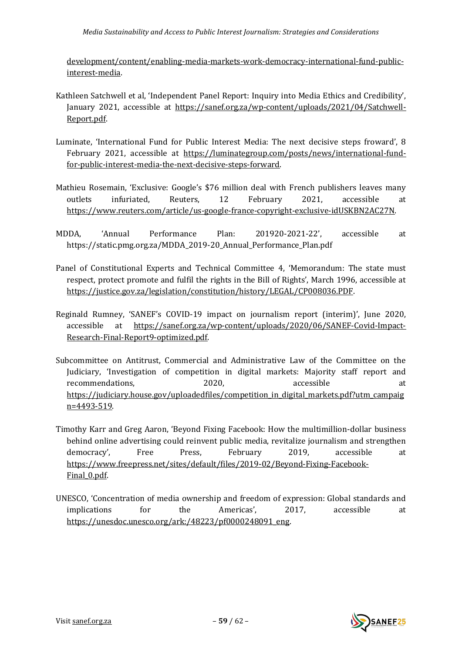#### *Media Sustainability and Access to Public Interest Journalism: Strategies and Considerations*

[development/content/enabling-media-markets-work-democracy-international-fund-public](https://www.comminit.com/media-development/content/enabling-media-markets-work-democracy-international-fund-public-interest-media)[interest-media.](https://www.comminit.com/media-development/content/enabling-media-markets-work-democracy-international-fund-public-interest-media)

- Kathleen Satchwell et al, 'Independent Panel Report: Inquiry into Media Ethics and Credibility', January 2021, accessible at [https://sanef.org.za/wp-content/uploads/2021/04/Satchwell-](https://sanef.org.za/wp-content/uploads/2021/04/Satchwell-Report.pdf)[Report.pdf.](https://sanef.org.za/wp-content/uploads/2021/04/Satchwell-Report.pdf)
- Luminate, 'International Fund for Public Interest Media: The next decisive steps froward', 8 February 2021, accessible at [https://luminategroup.com/posts/news/international-fund](https://luminategroup.com/posts/news/international-fund-for-public-interest-media-the-next-decisive-steps-forward)[for-public-interest-media-the-next-decisive-steps-forward.](https://luminategroup.com/posts/news/international-fund-for-public-interest-media-the-next-decisive-steps-forward)
- Mathieu Rosemain, 'Exclusive: Google's \$76 million deal with French publishers leaves many outlets infuriated, Reuters, 12 February 2021, accessible at [https://www.reuters.com/article/us-google-france-copyright-exclusive-idUSKBN2AC27N.](https://www.reuters.com/article/us-google-france-copyright-exclusive-idUSKBN2AC27N)
- MDDA, 'Annual Performance Plan: 201920-2021-22', accessible at https://static.pmg.org.za/MDDA\_2019-20\_Annual\_Performance\_Plan.pdf
- Panel of Constitutional Experts and Technical Committee 4, 'Memorandum: The state must respect, protect promote and fulfil the rights in the Bill of Rights', March 1996, accessible at [https://justice.gov.za/legislation/constitution/history/LEGAL/CP008036.PDF.](https://justice.gov.za/legislation/constitution/history/LEGAL/CP008036.PDF)
- Reginald Rumney, 'SANEF's COVID-19 impact on journalism report (interim)', June 2020, accessible at [https://sanef.org.za/wp-content/uploads/2020/06/SANEF-Covid-Impact-](https://sanef.org.za/wp-content/uploads/2020/06/SANEF-Covid-Impact-Research-Final-Report9-optimized.pdf)[Research-Final-Report9-optimized.pdf.](https://sanef.org.za/wp-content/uploads/2020/06/SANEF-Covid-Impact-Research-Final-Report9-optimized.pdf)
- Subcommittee on Antitrust, Commercial and Administrative Law of the Committee on the Judiciary, 'Investigation of competition in digital markets: Majority staff report and recommendations. 2020. accessible at at https://judiciary.house.gov/uploadedfiles/competition in digital markets.pdf?utm\_campaig [n=4493-519.](https://judiciary.house.gov/uploadedfiles/competition_in_digital_markets.pdf?utm_campaign=4493-519)
- Timothy Karr and Greg Aaron, 'Beyond Fixing Facebook: How the multimillion-dollar business behind online advertising could reinvent public media, revitalize journalism and strengthen democracy', Free Press, February 2019, accessible at [https://www.freepress.net/sites/default/files/2019-02/Beyond-Fixing-Facebook-](https://www.freepress.net/sites/default/files/2019-02/Beyond-Fixing-Facebook-Final_0.pdf)Final 0.pdf.
- UNESCO, 'Concentration of media ownership and freedom of expression: Global standards and implications for the Americas', 2017, accessible at [https://unesdoc.unesco.org/ark:/48223/pf0000248091\\_eng.](https://unesdoc.unesco.org/ark:/48223/pf0000248091_eng)

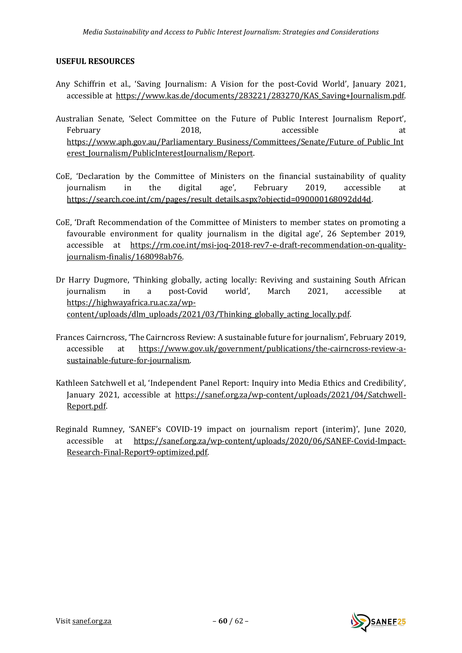#### <span id="page-59-0"></span>**USEFUL RESOURCES**

- Any Schiffrin et al., 'Saving Journalism: A Vision for the post-Covid World', January 2021, accessible at https://www.kas.de/documents/283221/283270/KAS Saving+Journalism.pdf.
- Australian Senate, 'Select Committee on the Future of Public Interest Journalism Report', February 2018, accessible at the accessible at the state at  $2018$ , accessible at at [https://www.aph.gov.au/Parliamentary\\_Business/Committees/Senate/Future\\_of\\_Public\\_Int](https://www.aph.gov.au/Parliamentary_Business/Committees/Senate/Future_of_Public_Interest_Journalism/PublicInterestJournalism/Report) erest Journalism/PublicInterestJournalism/Report.
- CoE, 'Declaration by the Committee of Ministers on the financial sustainability of quality journalism in the digital age', February 2019, accessible at [https://search.coe.int/cm/pages/result\\_details.aspx?objectid=090000168092dd4d.](https://search.coe.int/cm/pages/result_details.aspx?objectid=090000168092dd4d)
- CoE, 'Draft Recommendation of the Committee of Ministers to member states on promoting a favourable environment for quality journalism in the digital age', 26 September 2019, accessible at [https://rm.coe.int/msi-joq-2018-rev7-e-draft-recommendation-on-quality](https://rm.coe.int/msi-joq-2018-rev7-e-draft-recommendation-on-quality-journalism-finalis/168098ab76)[journalism-finalis/168098ab76.](https://rm.coe.int/msi-joq-2018-rev7-e-draft-recommendation-on-quality-journalism-finalis/168098ab76)
- Dr Harry Dugmore, 'Thinking globally, acting locally: Reviving and sustaining South African journalism in a post-Covid world', March 2021, accessible at [https://highwayafrica.ru.ac.za/wp](https://highwayafrica.ru.ac.za/wp-content/uploads/dlm_uploads/2021/03/Thinking_globally_acting_locally.pdf)[content/uploads/dlm\\_uploads/2021/03/Thinking\\_globally\\_acting\\_locally.pdf.](https://highwayafrica.ru.ac.za/wp-content/uploads/dlm_uploads/2021/03/Thinking_globally_acting_locally.pdf)
- Frances Cairncross, 'The Cairncross Review: A sustainable future for journalism', February 2019, accessible at [https://www.gov.uk/government/publications/the-cairncross-review-a](https://www.gov.uk/government/publications/the-cairncross-review-a-sustainable-future-for-journalism)[sustainable-future-for-journalism.](https://www.gov.uk/government/publications/the-cairncross-review-a-sustainable-future-for-journalism)
- Kathleen Satchwell et al, 'Independent Panel Report: Inquiry into Media Ethics and Credibility', January 2021, accessible at [https://sanef.org.za/wp-content/uploads/2021/04/Satchwell-](https://sanef.org.za/wp-content/uploads/2021/04/Satchwell-Report.pdf)[Report.pdf.](https://sanef.org.za/wp-content/uploads/2021/04/Satchwell-Report.pdf)
- Reginald Rumney, 'SANEF's COVID-19 impact on journalism report (interim)', June 2020, accessible at [https://sanef.org.za/wp-content/uploads/2020/06/SANEF-Covid-Impact-](https://sanef.org.za/wp-content/uploads/2020/06/SANEF-Covid-Impact-Research-Final-Report9-optimized.pdf)[Research-Final-Report9-optimized.pdf.](https://sanef.org.za/wp-content/uploads/2020/06/SANEF-Covid-Impact-Research-Final-Report9-optimized.pdf)

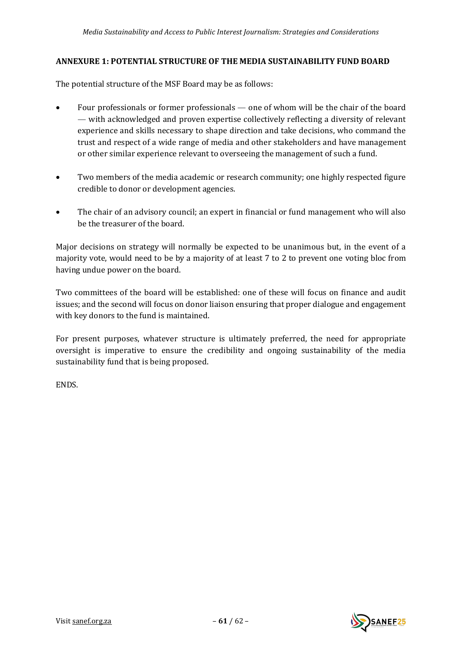#### <span id="page-60-0"></span>**ANNEXURE 1: POTENTIAL STRUCTURE OF THE MEDIA SUSTAINABILITY FUND BOARD**

The potential structure of the MSF Board may be as follows:

- Four professionals or former professionals one of whom will be the chair of the board — with acknowledged and proven expertise collectively reflecting a diversity of relevant experience and skills necessary to shape direction and take decisions, who command the trust and respect of a wide range of media and other stakeholders and have management or other similar experience relevant to overseeing the management of such a fund.
- Two members of the media academic or research community; one highly respected figure credible to donor or development agencies.
- The chair of an advisory council; an expert in financial or fund management who will also be the treasurer of the board.

Major decisions on strategy will normally be expected to be unanimous but, in the event of a majority vote, would need to be by a majority of at least 7 to 2 to prevent one voting bloc from having undue power on the board.

Two committees of the board will be established: one of these will focus on finance and audit issues; and the second will focus on donor liaison ensuring that proper dialogue and engagement with key donors to the fund is maintained.

For present purposes, whatever structure is ultimately preferred, the need for appropriate oversight is imperative to ensure the credibility and ongoing sustainability of the media sustainability fund that is being proposed.

ENDS.